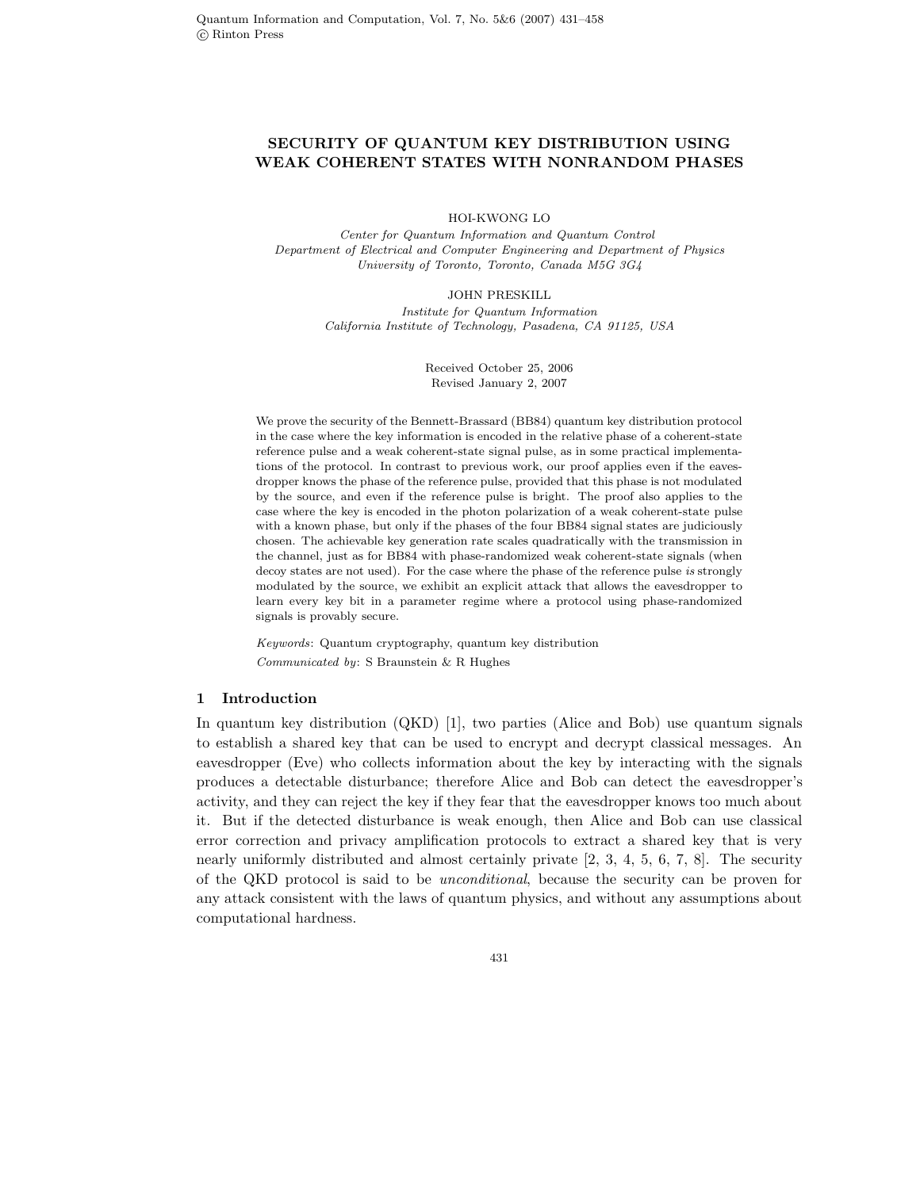# **SECURITY OF QUANTUM KEY DISTRIBUTION USING WEAK COHERENT STATES WITH NONRANDOM PHASES**

HOI-KWONG LO

*Center for Quantum Information and Quantum Control Department of Electrical and Computer Engineering and Department of Physics University of Toronto, Toronto, Canada M5G 3G4*

> JOHN PRESKILL *Institute for Quantum Information California Institute of Technology, Pasadena, CA 91125, USA*

> > Received October 25, 2006 Revised January 2, 2007

We prove the security of the Bennett-Brassard (BB84) quantum key distribution protocol in the case where the key information is encoded in the relative phase of a coherent-state reference pulse and a weak coherent-state signal pulse, as in some practical implementations of the protocol. In contrast to previous work, our proof applies even if the eavesdropper knows the phase of the reference pulse, provided that this phase is not modulated by the source, and even if the reference pulse is bright. The proof also applies to the case where the key is encoded in the photon polarization of a weak coherent-state pulse with a known phase, but only if the phases of the four BB84 signal states are judiciously chosen. The achievable key generation rate scales quadratically with the transmission in the channel, just as for BB84 with phase-randomized weak coherent-state signals (when decoy states are not used). For the case where the phase of the reference pulse *is* strongly modulated by the source, we exhibit an explicit attack that allows the eavesdropper to learn every key bit in a parameter regime where a protocol using phase-randomized signals is provably secure.

*Keywords*: Quantum cryptography, quantum key distribution *Communicated by*: S Braunstein & R Hughes

## **1 Introduction**

In quantum key distribution (QKD) [1], two parties (Alice and Bob) use quantum signals to establish a shared key that can be used to encrypt and decrypt classical messages. An eavesdropper (Eve) who collects information about the key by interacting with the signals produces a detectable disturbance; therefore Alice and Bob can detect the eavesdropper's activity, and they can reject the key if they fear that the eavesdropper knows too much about it. But if the detected disturbance is weak enough, then Alice and Bob can use classical error correction and privacy amplification protocols to extract a shared key that is very nearly uniformly distributed and almost certainly private [2, 3, 4, 5, 6, 7, 8]. The security of the QKD protocol is said to be *unconditional*, because the security can be proven for any attack consistent with the laws of quantum physics, and without any assumptions about computational hardness.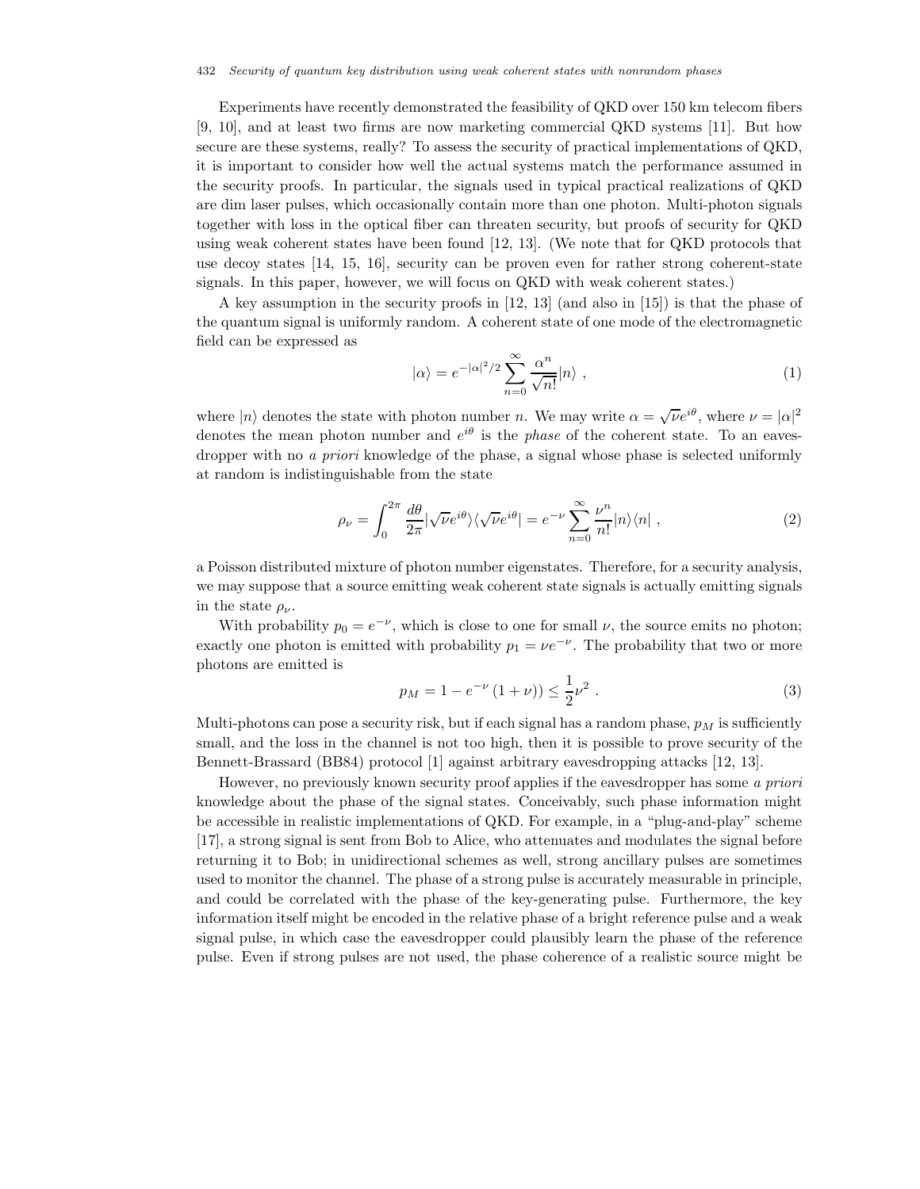Experiments have recently demonstrated the feasibility of QKD over 150 km telecom fibers [9, 10], and at least two firms are now marketing commercial QKD systems [11]. But how secure are these systems, really? To assess the security of practical implementations of QKD, it is important to consider how well the actual systems match the performance assumed in the security proofs. In particular, the signals used in typical practical realizations of QKD are dim laser pulses, which occasionally contain more than one photon. Multi-photon signals together with loss in the optical fiber can threaten security, but proofs of security for QKD using weak coherent states have been found [12, 13]. (We note that for QKD protocols that use decoy states [14, 15, 16], security can be proven even for rather strong coherent-state signals. In this paper, however, we will focus on QKD with weak coherent states.)

A key assumption in the security proofs in [12, 13] (and also in [15]) is that the phase of the quantum signal is uniformly random. A coherent state of one mode of the electromagnetic field can be expressed as

$$
|\alpha\rangle = e^{-|\alpha|^2/2} \sum_{n=0}^{\infty} \frac{\alpha^n}{\sqrt{n!}} |n\rangle , \qquad (1)
$$

where  $|n\rangle$  denotes the state with photon number n. We may write  $\alpha = \sqrt{\nu}e^{i\theta}$ , where  $\nu = |\alpha|^2$ denotes the mean photon number and  $e^{i\theta}$  is the *phase* of the coherent state. To an eavesdropper with no *a priori* knowledge of the phase, a signal whose phase is selected uniformly at random is indistinguishable from the state

$$
\rho_{\nu} = \int_0^{2\pi} \frac{d\theta}{2\pi} |\sqrt{\nu} e^{i\theta} \rangle \langle \sqrt{\nu} e^{i\theta} | = e^{-\nu} \sum_{n=0}^{\infty} \frac{\nu^n}{n!} |n\rangle \langle n | , \qquad (2)
$$

a Poisson distributed mixture of photon number eigenstates. Therefore, for a security analysis, we may suppose that a source emitting weak coherent state signals is actually emitting signals in the state  $\rho_{\nu}$ .

With probability  $p_0 = e^{-\nu}$ , which is close to one for small  $\nu$ , the source emits no photon; exactly one photon is emitted with probability  $p_1 = \nu e^{-\nu}$ . The probability that two or more photons are emitted is

$$
p_M = 1 - e^{-\nu} (1 + \nu) \le \frac{1}{2} \nu^2 \ . \tag{3}
$$

Multi-photons can pose a security risk, but if each signal has a random phase,  $p<sub>M</sub>$  is sufficiently small, and the loss in the channel is not too high, then it is possible to prove security of the Bennett-Brassard (BB84) protocol [1] against arbitrary eavesdropping attacks [12, 13].

However, no previously known security proof applies if the eavesdropper has some *a priori* knowledge about the phase of the signal states. Conceivably, such phase information might be accessible in realistic implementations of QKD. For example, in a "plug-and-play" scheme [17], a strong signal is sent from Bob to Alice, who attenuates and modulates the signal before returning it to Bob; in unidirectional schemes as well, strong ancillary pulses are sometimes used to monitor the channel. The phase of a strong pulse is accurately measurable in principle, and could be correlated with the phase of the key-generating pulse. Furthermore, the key information itself might be encoded in the relative phase of a bright reference pulse and a weak signal pulse, in which case the eavesdropper could plausibly learn the phase of the reference pulse. Even if strong pulses are not used, the phase coherence of a realistic source might be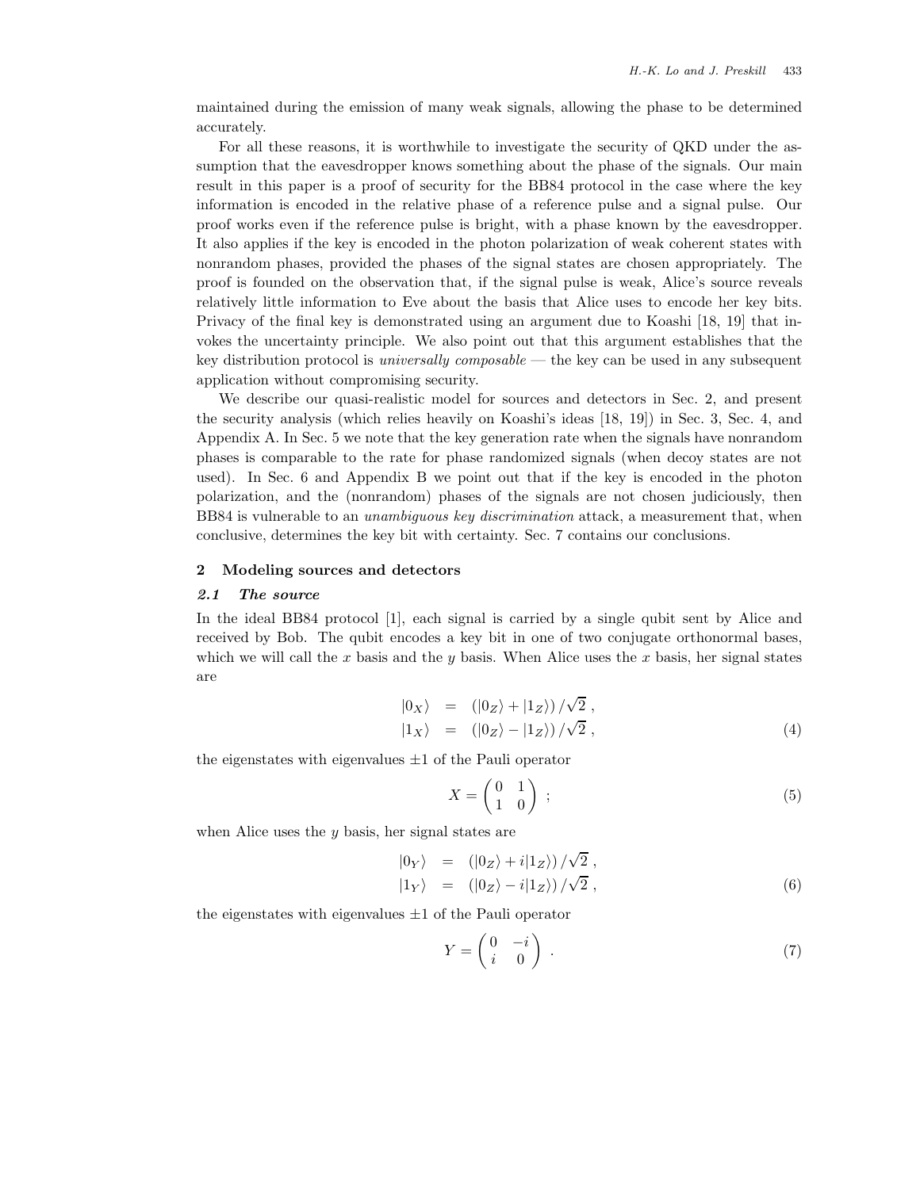maintained during the emission of many weak signals, allowing the phase to be determined accurately.

For all these reasons, it is worthwhile to investigate the security of QKD under the assumption that the eavesdropper knows something about the phase of the signals. Our main result in this paper is a proof of security for the BB84 protocol in the case where the key information is encoded in the relative phase of a reference pulse and a signal pulse. Our proof works even if the reference pulse is bright, with a phase known by the eavesdropper. It also applies if the key is encoded in the photon polarization of weak coherent states with nonrandom phases, provided the phases of the signal states are chosen appropriately. The proof is founded on the observation that, if the signal pulse is weak, Alice's source reveals relatively little information to Eve about the basis that Alice uses to encode her key bits. Privacy of the final key is demonstrated using an argument due to Koashi [18, 19] that invokes the uncertainty principle. We also point out that this argument establishes that the key distribution protocol is *universally composable* — the key can be used in any subsequent application without compromising security.

We describe our quasi-realistic model for sources and detectors in Sec. 2, and present the security analysis (which relies heavily on Koashi's ideas [18, 19]) in Sec. 3, Sec. 4, and Appendix A. In Sec. 5 we note that the key generation rate when the signals have nonrandom phases is comparable to the rate for phase randomized signals (when decoy states are not used). In Sec. 6 and Appendix B we point out that if the key is encoded in the photon polarization, and the (nonrandom) phases of the signals are not chosen judiciously, then BB84 is vulnerable to an *unambiguous key discrimination* attack, a measurement that, when conclusive, determines the key bit with certainty. Sec. 7 contains our conclusions.

## **2 Modeling sources and detectors**

## *2.1 The source*

In the ideal BB84 protocol [1], each signal is carried by a single qubit sent by Alice and received by Bob. The qubit encodes a key bit in one of two conjugate orthonormal bases, which we will call the x basis and the y basis. When Alice uses the x basis, her signal states are

$$
\begin{array}{rcl}\n\vert 0_X \rangle & = & \left( \vert 0_Z \rangle + \vert 1_Z \rangle \right) / \sqrt{2} \, , \\
\vert 1_X \rangle & = & \left( \vert 0_Z \rangle - \vert 1_Z \rangle \right) / \sqrt{2} \, ,\n\end{array} \tag{4}
$$

the eigenstates with eigenvalues  $\pm 1$  of the Pauli operator

$$
X = \begin{pmatrix} 0 & 1 \\ 1 & 0 \end{pmatrix} ; \tag{5}
$$

when Alice uses the  $y$  basis, her signal states are

$$
\begin{array}{rcl}\n\vert 0_Y \rangle & = & \left( \vert 0_Z \rangle + i \vert 1_Z \rangle \right) / \sqrt{2} \;, \\
\vert 1_Y \rangle & = & \left( \vert 0_Z \rangle - i \vert 1_Z \rangle \right) / \sqrt{2} \;, \\
\end{array} \tag{6}
$$

the eigenstates with eigenvalues  $\pm 1$  of the Pauli operator

$$
Y = \begin{pmatrix} 0 & -i \\ i & 0 \end{pmatrix} . \tag{7}
$$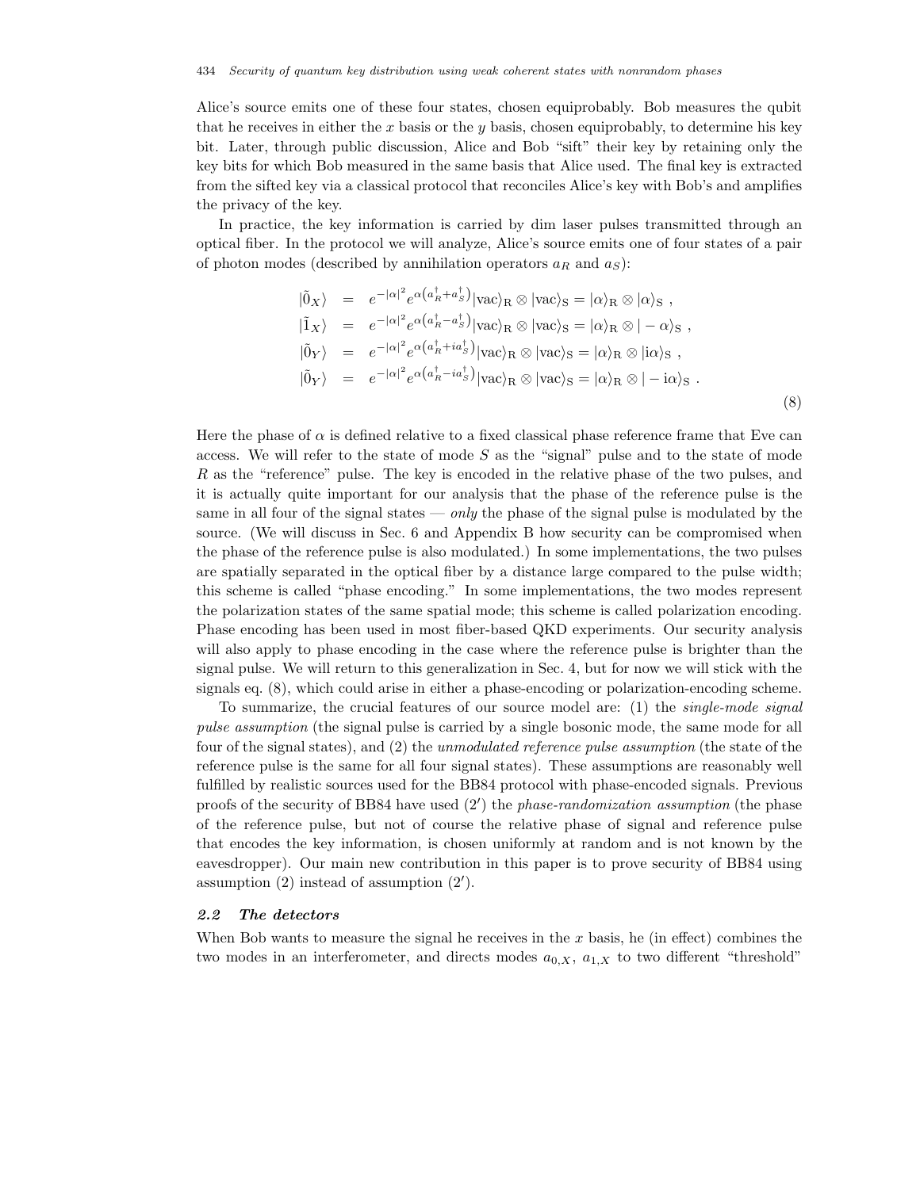Alice's source emits one of these four states, chosen equiprobably. Bob measures the qubit that he receives in either the x basis or the y basis, chosen equiprobably, to determine his key bit. Later, through public discussion, Alice and Bob "sift" their key by retaining only the key bits for which Bob measured in the same basis that Alice used. The final key is extracted from the sifted key via a classical protocol that reconciles Alice's key with Bob's and amplifies the privacy of the key.

In practice, the key information is carried by dim laser pulses transmitted through an optical fiber. In the protocol we will analyze, Alice's source emits one of four states of a pair of photon modes (described by annihilation operators  $a_R$  and  $a_S$ ):

$$
\begin{array}{rcl}\n\vert \tilde{0}_X \rangle & = & e^{-\vert \alpha \vert^2} e^{\alpha \left( a_R^{\dagger} + a_S^{\dagger} \right)} \vert \text{vac} \rangle_R \otimes \vert \text{vac} \rangle_S = \vert \alpha \rangle_R \otimes \vert \alpha \rangle_S \; , \\
\vert \tilde{1}_X \rangle & = & e^{-\vert \alpha \vert^2} e^{\alpha \left( a_R^{\dagger} - a_S^{\dagger} \right)} \vert \text{vac} \rangle_R \otimes \vert \text{vac} \rangle_S = \vert \alpha \rangle_R \otimes \vert - \alpha \rangle_S \; , \\
\vert \tilde{0}_Y \rangle & = & e^{-\vert \alpha \vert^2} e^{\alpha \left( a_R^{\dagger} + i a_S^{\dagger} \right)} \vert \text{vac} \rangle_R \otimes \vert \text{vac} \rangle_S = \vert \alpha \rangle_R \otimes \vert i \alpha \rangle_S \; , \\
\vert \tilde{0}_Y \rangle & = & e^{-\vert \alpha \vert^2} e^{\alpha \left( a_R^{\dagger} - i a_S^{\dagger} \right)} \vert \text{vac} \rangle_R \otimes \vert \text{vac} \rangle_S = \vert \alpha \rangle_R \otimes \vert - i \alpha \rangle_S \; .\n\end{array} \tag{8}
$$

Here the phase of  $\alpha$  is defined relative to a fixed classical phase reference frame that Eve can access. We will refer to the state of mode  $S$  as the "signal" pulse and to the state of mode R as the "reference" pulse. The key is encoded in the relative phase of the two pulses, and it is actually quite important for our analysis that the phase of the reference pulse is the same in all four of the signal states — *only* the phase of the signal pulse is modulated by the source. (We will discuss in Sec. 6 and Appendix B how security can be compromised when the phase of the reference pulse is also modulated.) In some implementations, the two pulses are spatially separated in the optical fiber by a distance large compared to the pulse width; this scheme is called "phase encoding." In some implementations, the two modes represent the polarization states of the same spatial mode; this scheme is called polarization encoding. Phase encoding has been used in most fiber-based QKD experiments. Our security analysis will also apply to phase encoding in the case where the reference pulse is brighter than the signal pulse. We will return to this generalization in Sec. 4, but for now we will stick with the signals eq. (8), which could arise in either a phase-encoding or polarization-encoding scheme.

To summarize, the crucial features of our source model are: (1) the *single-mode signal pulse assumption* (the signal pulse is carried by a single bosonic mode, the same mode for all four of the signal states), and (2) the *unmodulated reference pulse assumption* (the state of the reference pulse is the same for all four signal states). These assumptions are reasonably well fulfilled by realistic sources used for the BB84 protocol with phase-encoded signals. Previous proofs of the security of BB84 have used (2 ) the *phase-randomization assumption* (the phase of the reference pulse, but not of course the relative phase of signal and reference pulse that encodes the key information, is chosen uniformly at random and is not known by the eavesdropper). Our main new contribution in this paper is to prove security of BB84 using assumption (2) instead of assumption (2 ).

## *2.2 The detectors*

When Bob wants to measure the signal he receives in the  $x$  basis, he (in effect) combines the two modes in an interferometer, and directs modes  $a_{0,X}$ ,  $a_{1,X}$  to two different "threshold"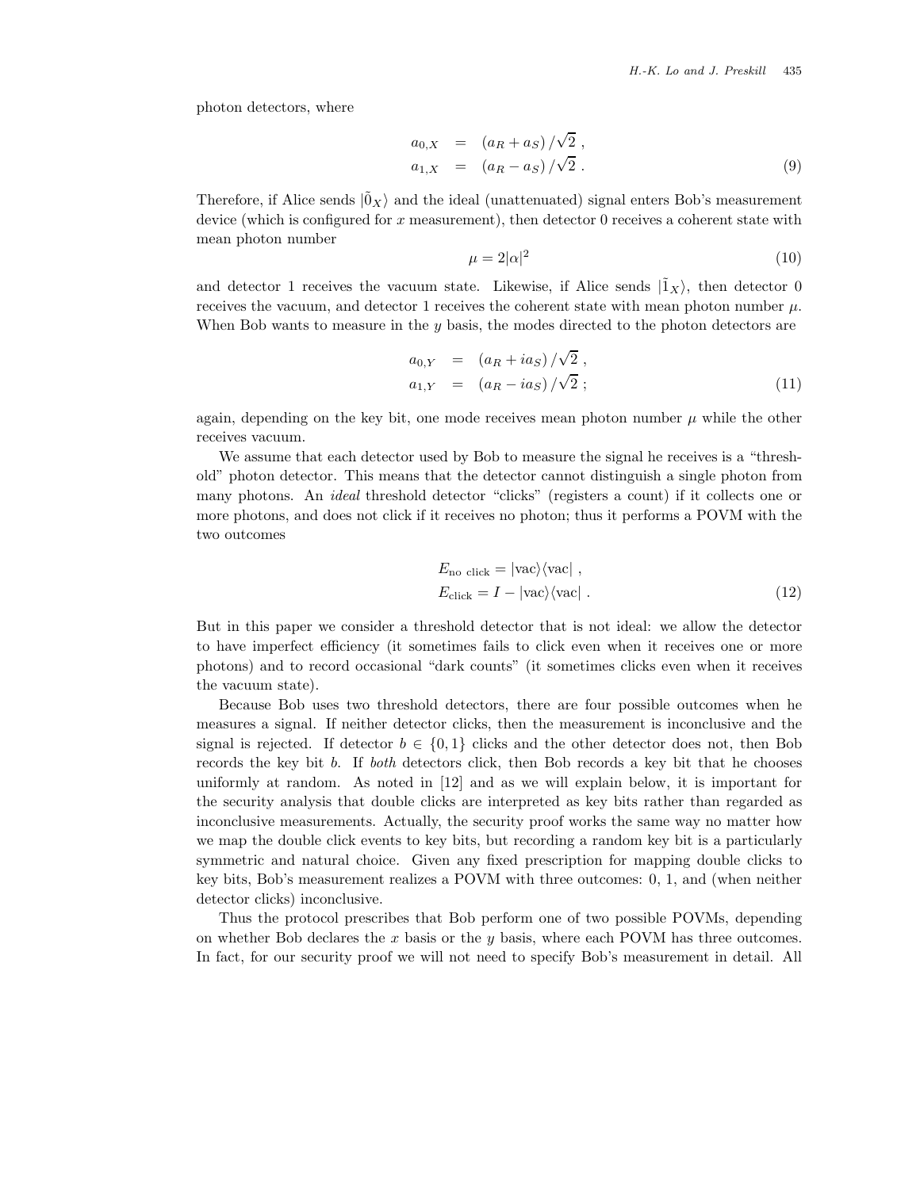photon detectors, where

$$
a_{0,X} = (a_R + a_S) / \sqrt{2} ,
$$
  
\n
$$
a_{1,X} = (a_R - a_S) / \sqrt{2} .
$$
\n(9)

Therefore, if Alice sends  $|\tilde{0}_X\rangle$  and the ideal (unattenuated) signal enters Bob's measurement device (which is configured for  $x$  measurement), then detector  $0$  receives a coherent state with mean photon number

$$
\mu = 2|\alpha|^2 \tag{10}
$$

and detector 1 receives the vacuum state. Likewise, if Alice sends  $|\tilde{1}_X\rangle$ , then detector 0 receives the vacuum, and detector 1 receives the coherent state with mean photon number  $\mu$ . When Bob wants to measure in the  $y$  basis, the modes directed to the photon detectors are

$$
a_{0,Y} = (a_R + ia_S)/\sqrt{2} ,
$$
  
\n
$$
a_{1,Y} = (a_R - ia_S)/\sqrt{2} ;
$$
\n(11)

again, depending on the key bit, one mode receives mean photon number  $\mu$  while the other receives vacuum.

We assume that each detector used by Bob to measure the signal he receives is a "threshold" photon detector. This means that the detector cannot distinguish a single photon from many photons. An *ideal* threshold detector "clicks" (registers a count) if it collects one or more photons, and does not click if it receives no photon; thus it performs a POVM with the two outcomes

$$
E_{\text{no click}} = |\text{vac}\rangle\langle\text{vac}|,
$$
  
\n
$$
E_{\text{click}} = I - |\text{vac}\rangle\langle\text{vac}|.
$$
 (12)

But in this paper we consider a threshold detector that is not ideal: we allow the detector to have imperfect efficiency (it sometimes fails to click even when it receives one or more photons) and to record occasional "dark counts" (it sometimes clicks even when it receives the vacuum state).

Because Bob uses two threshold detectors, there are four possible outcomes when he measures a signal. If neither detector clicks, then the measurement is inconclusive and the signal is rejected. If detector  $b \in \{0,1\}$  clicks and the other detector does not, then Bob records the key bit b. If *both* detectors click, then Bob records a key bit that he chooses uniformly at random. As noted in [12] and as we will explain below, it is important for the security analysis that double clicks are interpreted as key bits rather than regarded as inconclusive measurements. Actually, the security proof works the same way no matter how we map the double click events to key bits, but recording a random key bit is a particularly symmetric and natural choice. Given any fixed prescription for mapping double clicks to key bits, Bob's measurement realizes a POVM with three outcomes: 0, 1, and (when neither detector clicks) inconclusive.

Thus the protocol prescribes that Bob perform one of two possible POVMs, depending on whether Bob declares the x basis or the y basis, where each POVM has three outcomes. In fact, for our security proof we will not need to specify Bob's measurement in detail. All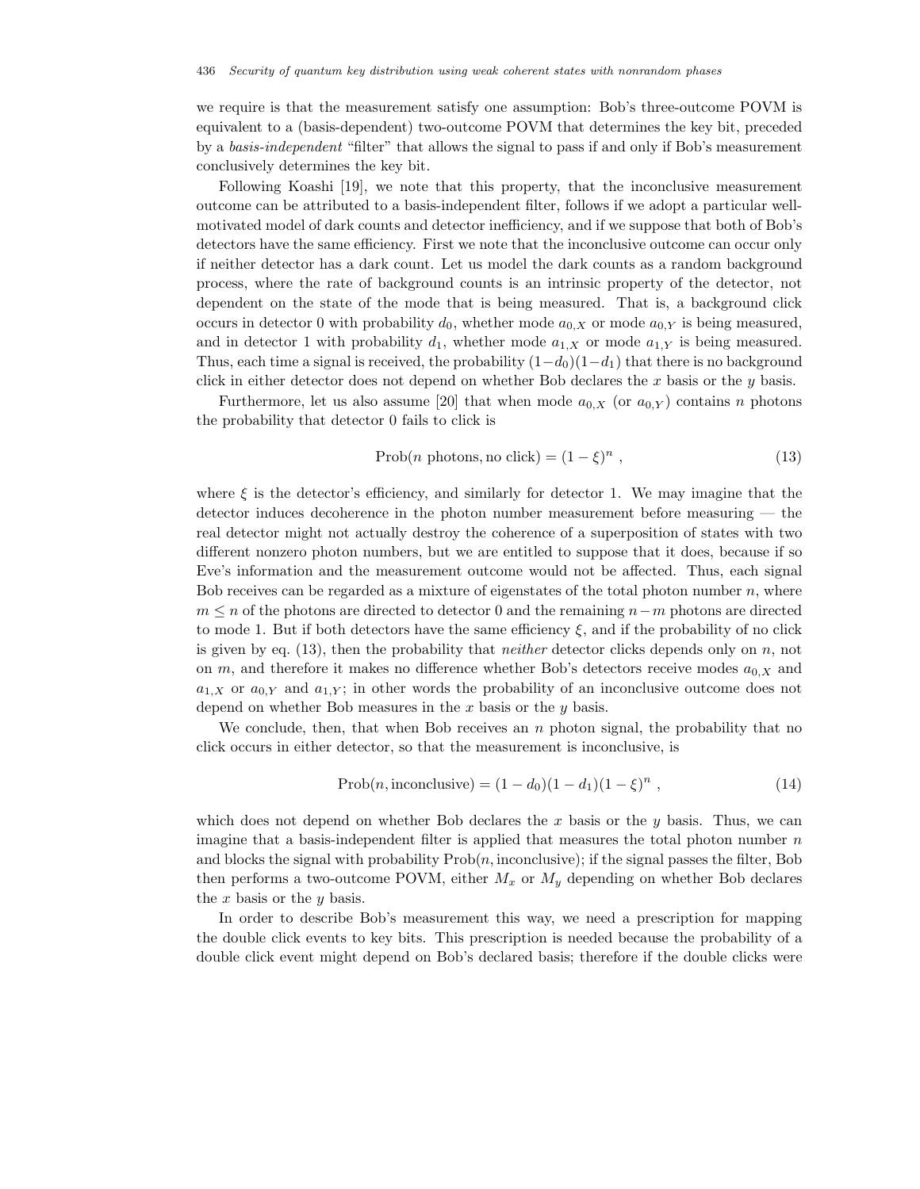we require is that the measurement satisfy one assumption: Bob's three-outcome POVM is equivalent to a (basis-dependent) two-outcome POVM that determines the key bit, preceded by a *basis-independent* "filter" that allows the signal to pass if and only if Bob's measurement conclusively determines the key bit.

Following Koashi [19], we note that this property, that the inconclusive measurement outcome can be attributed to a basis-independent filter, follows if we adopt a particular wellmotivated model of dark counts and detector inefficiency, and if we suppose that both of Bob's detectors have the same efficiency. First we note that the inconclusive outcome can occur only if neither detector has a dark count. Let us model the dark counts as a random background process, where the rate of background counts is an intrinsic property of the detector, not dependent on the state of the mode that is being measured. That is, a background click occurs in detector 0 with probability  $d_0$ , whether mode  $a_{0,X}$  or mode  $a_{0,Y}$  is being measured, and in detector 1 with probability  $d_1$ , whether mode  $a_{1,X}$  or mode  $a_{1,Y}$  is being measured. Thus, each time a signal is received, the probability  $(1-d_0)(1-d_1)$  that there is no background click in either detector does not depend on whether Bob declares the x basis or the y basis.

Furthermore, let us also assume [20] that when mode  $a_{0,X}$  (or  $a_{0,Y}$ ) contains n photons the probability that detector 0 fails to click is

$$
Prob(n \text{ photons}, \text{no click}) = (1 - \xi)^n , \qquad (13)
$$

where  $\xi$  is the detector's efficiency, and similarly for detector 1. We may imagine that the detector induces decoherence in the photon number measurement before measuring — the real detector might not actually destroy the coherence of a superposition of states with two different nonzero photon numbers, but we are entitled to suppose that it does, because if so Eve's information and the measurement outcome would not be affected. Thus, each signal Bob receives can be regarded as a mixture of eigenstates of the total photon number  $n$ , where  $m \leq n$  of the photons are directed to detector 0 and the remaining  $n-m$  photons are directed to mode 1. But if both detectors have the same efficiency  $\xi$ , and if the probability of no click is given by eq. (13), then the probability that *neither* detector clicks depends only on n, not on m, and therefore it makes no difference whether Bob's detectors receive modes  $a_{0,X}$  and  $a_{1,X}$  or  $a_{0,Y}$  and  $a_{1,Y}$ ; in other words the probability of an inconclusive outcome does not depend on whether Bob measures in the  $x$  basis or the  $y$  basis.

We conclude, then, that when Bob receives an  $n$  photon signal, the probability that no click occurs in either detector, so that the measurement is inconclusive, is

$$
Prob(n, inconclusive) = (1 - d_0)(1 - d_1)(1 - \xi)^n , \qquad (14)
$$

which does not depend on whether Bob declares the x basis or the  $y$  basis. Thus, we can imagine that a basis-independent filter is applied that measures the total photon number  $n$ and blocks the signal with probability  $\text{Prob}(n, \text{inconclusive})$ ; if the signal passes the filter, Bob then performs a two-outcome POVM, either  $M_x$  or  $M_y$  depending on whether Bob declares the  $x$  basis or the  $y$  basis.

In order to describe Bob's measurement this way, we need a prescription for mapping the double click events to key bits. This prescription is needed because the probability of a double click event might depend on Bob's declared basis; therefore if the double clicks were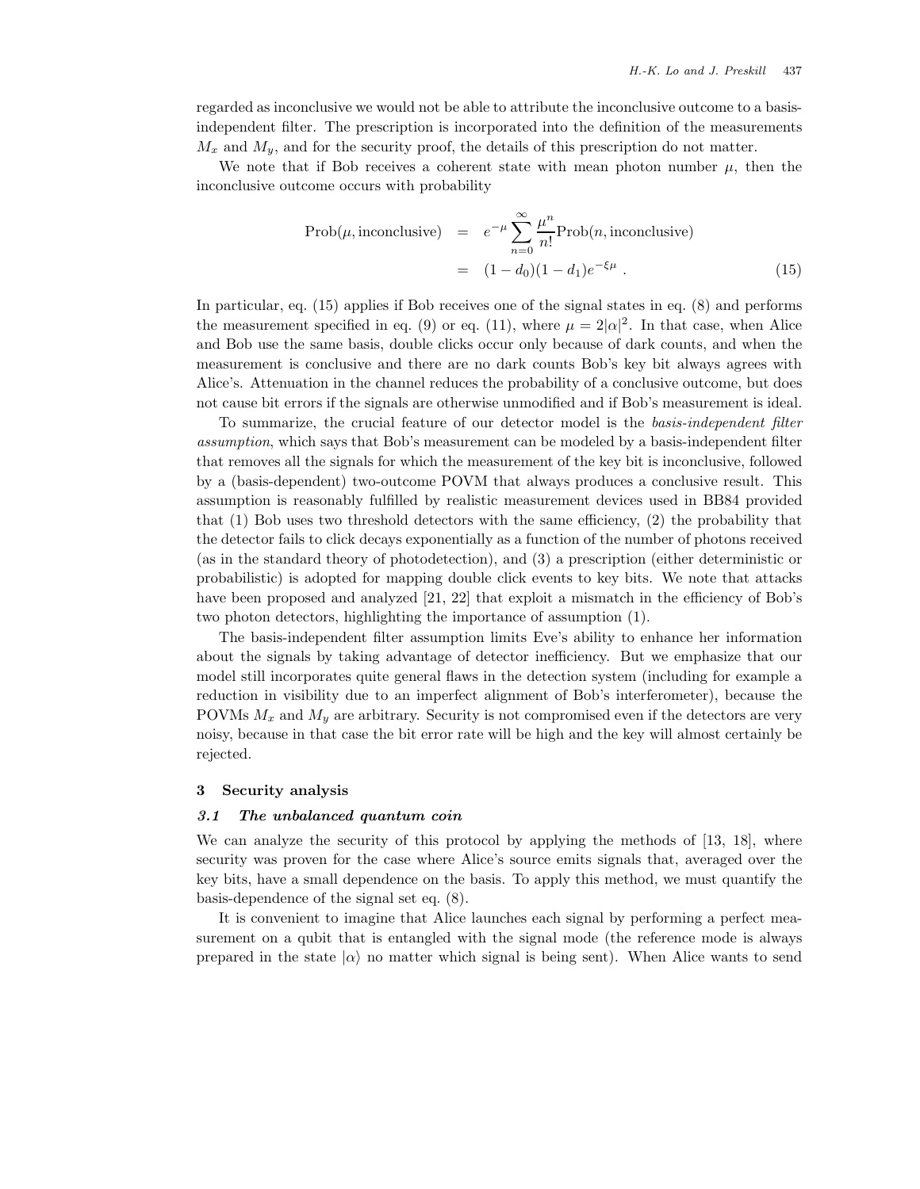regarded as inconclusive we would not be able to attribute the inconclusive outcome to a basisindependent filter. The prescription is incorporated into the definition of the measurements  $M_x$  and  $M_y$ , and for the security proof, the details of this prescription do not matter.

We note that if Bob receives a coherent state with mean photon number  $\mu$ , then the inconclusive outcome occurs with probability

$$
\text{Prob}(\mu, \text{inconclusive}) = e^{-\mu} \sum_{n=0}^{\infty} \frac{\mu^n}{n!} \text{Prob}(n, \text{inconclusive})
$$

$$
= (1 - d_0)(1 - d_1)e^{-\xi \mu} \tag{15}
$$

In particular, eq. (15) applies if Bob receives one of the signal states in eq. (8) and performs the measurement specified in eq. (9) or eq. (11), where  $\mu = 2|\alpha|^2$ . In that case, when Alice and Bob use the same basis, double clicks occur only because of dark counts, and when the measurement is conclusive and there are no dark counts Bob's key bit always agrees with Alice's. Attenuation in the channel reduces the probability of a conclusive outcome, but does not cause bit errors if the signals are otherwise unmodified and if Bob's measurement is ideal.

To summarize, the crucial feature of our detector model is the *basis-independent filter assumption*, which says that Bob's measurement can be modeled by a basis-independent filter that removes all the signals for which the measurement of the key bit is inconclusive, followed by a (basis-dependent) two-outcome POVM that always produces a conclusive result. This assumption is reasonably fulfilled by realistic measurement devices used in BB84 provided that (1) Bob uses two threshold detectors with the same efficiency, (2) the probability that the detector fails to click decays exponentially as a function of the number of photons received (as in the standard theory of photodetection), and (3) a prescription (either deterministic or probabilistic) is adopted for mapping double click events to key bits. We note that attacks have been proposed and analyzed [21, 22] that exploit a mismatch in the efficiency of Bob's two photon detectors, highlighting the importance of assumption (1).

The basis-independent filter assumption limits Eve's ability to enhance her information about the signals by taking advantage of detector inefficiency. But we emphasize that our model still incorporates quite general flaws in the detection system (including for example a reduction in visibility due to an imperfect alignment of Bob's interferometer), because the POVMs  $M_x$  and  $M_y$  are arbitrary. Security is not compromised even if the detectors are very noisy, because in that case the bit error rate will be high and the key will almost certainly be rejected.

### **3 Security analysis**

## *3.1 The unbalanced quantum coin*

We can analyze the security of this protocol by applying the methods of [13, 18], where security was proven for the case where Alice's source emits signals that, averaged over the key bits, have a small dependence on the basis. To apply this method, we must quantify the basis-dependence of the signal set eq. (8).

It is convenient to imagine that Alice launches each signal by performing a perfect measurement on a qubit that is entangled with the signal mode (the reference mode is always prepared in the state  $|\alpha\rangle$  no matter which signal is being sent). When Alice wants to send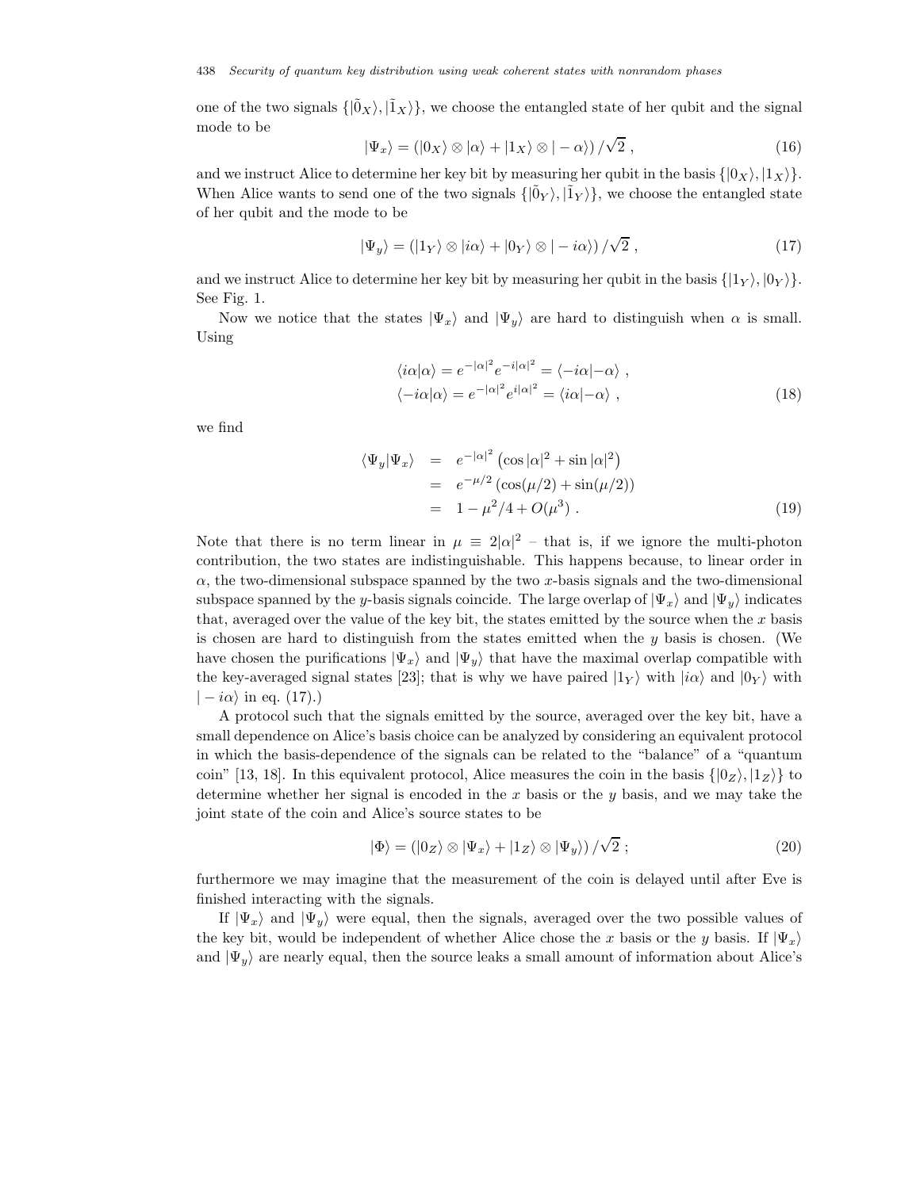one of the two signals  $\{|\tilde{0}_X\rangle, |\tilde{1}_X\rangle\}$ , we choose the entangled state of her qubit and the signal mode to be √

$$
|\Psi_x\rangle = (|0_X\rangle \otimes |\alpha\rangle + |1_X\rangle \otimes |-\alpha\rangle)/\sqrt{2} , \qquad (16)
$$

and we instruct Alice to determine her key bit by measuring her qubit in the basis  $\{|0_X\rangle, |1_X\rangle\}$ . When Alice wants to send one of the two signals  $\{|\tilde{0}_Y\rangle, |\tilde{1}_Y\rangle\}$ , we choose the entangled state of her qubit and the mode to be

$$
|\Psi_y\rangle = (|1_Y\rangle \otimes |i\alpha\rangle + |0_Y\rangle \otimes |-i\alpha\rangle)/\sqrt{2},
$$
\n(17)

and we instruct Alice to determine her key bit by measuring her qubit in the basis  $\{ |1_Y\rangle, |0_Y\rangle \}$ . See Fig. 1.

Now we notice that the states  $|\Psi_x\rangle$  and  $|\Psi_y\rangle$  are hard to distinguish when  $\alpha$  is small. Using

$$
\langle i\alpha|\alpha\rangle = e^{-|\alpha|^2} e^{-i|\alpha|^2} = \langle -i\alpha| - \alpha \rangle ,
$$
  

$$
\langle -i\alpha|\alpha\rangle = e^{-|\alpha|^2} e^{i|\alpha|^2} = \langle i\alpha| - \alpha \rangle ,
$$
 (18)

we find

$$
\langle \Psi_y | \Psi_x \rangle = e^{-|\alpha|^2} (\cos |\alpha|^2 + \sin |\alpha|^2) \n= e^{-\mu/2} (\cos(\mu/2) + \sin(\mu/2)) \n= 1 - \mu^2/4 + O(\mu^3).
$$
\n(19)

Note that there is no term linear in  $\mu = 2|\alpha|^2$  – that is, if we ignore the multi-photon contribution, the two states are indistinguishable. This happens because, to linear order in  $\alpha$ , the two-dimensional subspace spanned by the two x-basis signals and the two-dimensional subspace spanned by the y-basis signals coincide. The large overlap of  $|\Psi_x\rangle$  and  $|\Psi_y\rangle$  indicates that, averaged over the value of the key bit, the states emitted by the source when the  $x$  basis is chosen are hard to distinguish from the states emitted when the  $y$  basis is chosen. (We have chosen the purifications  $|\Psi_x\rangle$  and  $|\Psi_y\rangle$  that have the maximal overlap compatible with the key-averaged signal states [23]; that is why we have paired  $|1_Y\rangle$  with  $|i\alpha\rangle$  and  $|0_Y\rangle$  with  $|-i\alpha\rangle$  in eq. (17).)

A protocol such that the signals emitted by the source, averaged over the key bit, have a small dependence on Alice's basis choice can be analyzed by considering an equivalent protocol in which the basis-dependence of the signals can be related to the "balance" of a "quantum coin" [13, 18]. In this equivalent protocol, Alice measures the coin in the basis  $\{|0_Z\rangle, |1_Z\rangle\}$  to determine whether her signal is encoded in the x basis or the y basis, and we may take the joint state of the coin and Alice's source states to be

$$
|\Phi\rangle = (|0_Z\rangle \otimes |\Psi_x\rangle + |1_Z\rangle \otimes |\Psi_y\rangle) / \sqrt{2} ; \qquad (20)
$$

furthermore we may imagine that the measurement of the coin is delayed until after Eve is finished interacting with the signals.

If  $|\Psi_x\rangle$  and  $|\Psi_y\rangle$  were equal, then the signals, averaged over the two possible values of the key bit, would be independent of whether Alice chose the x basis or the y basis. If  $|\Psi_x\rangle$ and  $|\Psi_y\rangle$  are nearly equal, then the source leaks a small amount of information about Alice's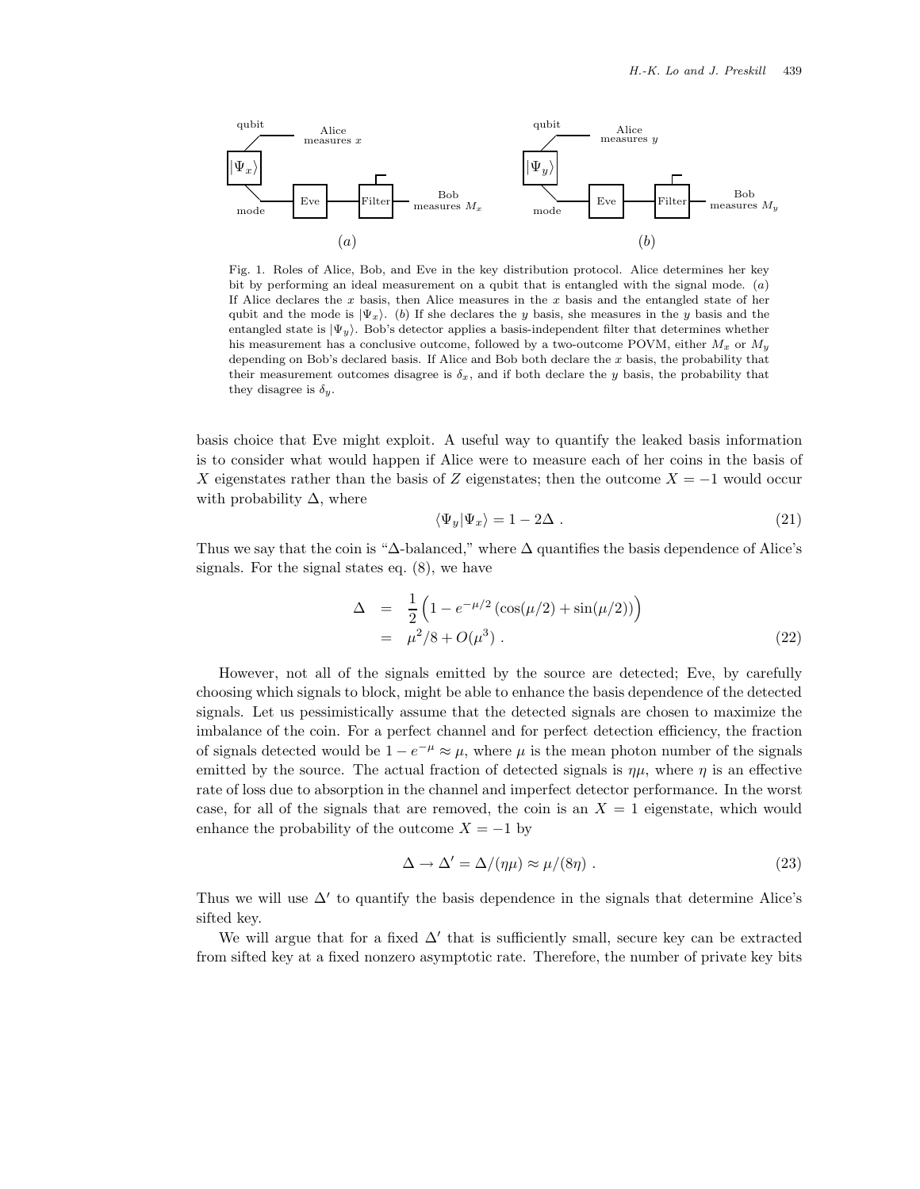

Fig. 1. Roles of Alice, Bob, and Eve in the key distribution protocol. Alice determines her key bit by performing an ideal measurement on a qubit that is entangled with the signal mode.  $(a)$ If Alice declares the  $x$  basis, then Alice measures in the  $x$  basis and the entangled state of her qubit and the mode is  $|\Psi_x\rangle$ . (b) If she declares the y basis, she measures in the y basis and the entangled state is  $|\Psi_y\rangle$ . Bob's detector applies a basis-independent filter that determines whether his measurement has a conclusive outcome, followed by a two-outcome POVM, either  $M_x$  or  $M_y$ depending on Bob's declared basis. If Alice and Bob both declare the  $x$  basis, the probability that their measurement outcomes disagree is  $\delta_x$ , and if both declare the y basis, the probability that they disagree is  $\delta_y$ .

basis choice that Eve might exploit. A useful way to quantify the leaked basis information is to consider what would happen if Alice were to measure each of her coins in the basis of X eigenstates rather than the basis of Z eigenstates; then the outcome  $X = -1$  would occur with probability  $\Delta$ , where

$$
\langle \Psi_y | \Psi_x \rangle = 1 - 2\Delta \tag{21}
$$

Thus we say that the coin is " $\Delta$ -balanced," where  $\Delta$  quantifies the basis dependence of Alice's signals. For the signal states eq. (8), we have

$$
\Delta = \frac{1}{2} \left( 1 - e^{-\mu/2} \left( \cos(\mu/2) + \sin(\mu/2) \right) \right) \n= \mu^2 / 8 + O(\mu^3) .
$$
\n(22)

However, not all of the signals emitted by the source are detected; Eve, by carefully choosing which signals to block, might be able to enhance the basis dependence of the detected signals. Let us pessimistically assume that the detected signals are chosen to maximize the imbalance of the coin. For a perfect channel and for perfect detection efficiency, the fraction of signals detected would be  $1 - e^{-\mu} \approx \mu$ , where  $\mu$  is the mean photon number of the signals emitted by the source. The actual fraction of detected signals is  $\eta\mu$ , where  $\eta$  is an effective rate of loss due to absorption in the channel and imperfect detector performance. In the worst case, for all of the signals that are removed, the coin is an  $X = 1$  eigenstate, which would enhance the probability of the outcome  $X = -1$  by

$$
\Delta \to \Delta' = \Delta/(\eta \mu) \approx \mu/(8\eta) \ . \tag{23}
$$

Thus we will use  $\Delta'$  to quantify the basis dependence in the signals that determine Alice's sifted key.

We will argue that for a fixed  $\Delta'$  that is sufficiently small, secure key can be extracted from sifted key at a fixed nonzero asymptotic rate. Therefore, the number of private key bits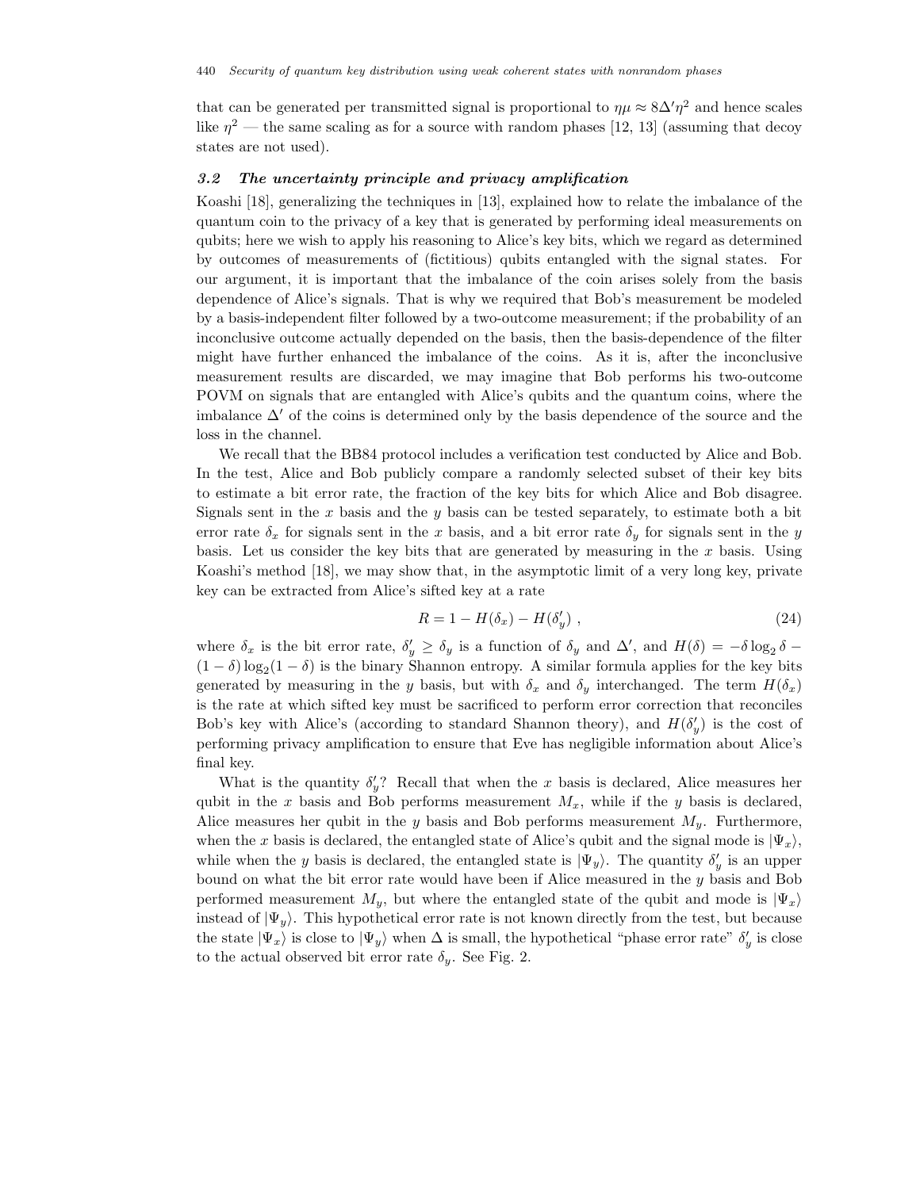that can be generated per transmitted signal is proportional to  $\eta \mu \approx 8\Delta' \eta^2$  and hence scales like  $\eta^2$  — the same scaling as for a source with random phases [12, 13] (assuming that decoy states are not used).

#### *3.2 The uncertainty principle and privacy amplification*

Koashi [18], generalizing the techniques in [13], explained how to relate the imbalance of the quantum coin to the privacy of a key that is generated by performing ideal measurements on qubits; here we wish to apply his reasoning to Alice's key bits, which we regard as determined by outcomes of measurements of (fictitious) qubits entangled with the signal states. For our argument, it is important that the imbalance of the coin arises solely from the basis dependence of Alice's signals. That is why we required that Bob's measurement be modeled by a basis-independent filter followed by a two-outcome measurement; if the probability of an inconclusive outcome actually depended on the basis, then the basis-dependence of the filter might have further enhanced the imbalance of the coins. As it is, after the inconclusive measurement results are discarded, we may imagine that Bob performs his two-outcome POVM on signals that are entangled with Alice's qubits and the quantum coins, where the imbalance  $\Delta'$  of the coins is determined only by the basis dependence of the source and the loss in the channel.

We recall that the BB84 protocol includes a verification test conducted by Alice and Bob. In the test, Alice and Bob publicly compare a randomly selected subset of their key bits to estimate a bit error rate, the fraction of the key bits for which Alice and Bob disagree. Signals sent in the  $x$  basis and the  $y$  basis can be tested separately, to estimate both a bit error rate  $\delta_x$  for signals sent in the x basis, and a bit error rate  $\delta_y$  for signals sent in the y basis. Let us consider the key bits that are generated by measuring in the  $x$  basis. Using Koashi's method [18], we may show that, in the asymptotic limit of a very long key, private key can be extracted from Alice's sifted key at a rate

$$
R = 1 - H(\delta_x) - H(\delta_y'), \qquad (24)
$$

where  $\delta_x$  is the bit error rate,  $\delta'_y \ge \delta_y$  is a function of  $\delta_y$  and  $\Delta'$ , and  $H(\delta) = -\delta \log_2 \delta$  $(1 - \delta) \log_2(1 - \delta)$  is the binary Shannon entropy. A similar formula applies for the key bits generated by measuring in the y basis, but with  $\delta_x$  and  $\delta_y$  interchanged. The term  $H(\delta_x)$ is the rate at which sifted key must be sacrificed to perform error correction that reconciles Bob's key with Alice's (according to standard Shannon theory), and  $H(\delta_y')$  is the cost of performing privacy amplification to ensure that Eve has negligible information about Alice's final key.

What is the quantity  $\delta'_y$ ? Recall that when the x basis is declared, Alice measures her qubit in the x basis and Bob performs measurement  $M_x$ , while if the y basis is declared, Alice measures her qubit in the y basis and Bob performs measurement  $M_y$ . Furthermore, when the x basis is declared, the entangled state of Alice's qubit and the signal mode is  $|\Psi_x\rangle$ , while when the y basis is declared, the entangled state is  $|\Psi_y\rangle$ . The quantity  $\delta'_y$  is an upper bound on what the bit error rate would have been if Alice measured in the y basis and Bob performed measurement  $M_y$ , but where the entangled state of the qubit and mode is  $|\Psi_x\rangle$ instead of  $|\Psi_y\rangle$ . This hypothetical error rate is not known directly from the test, but because the state  $|\Psi_x\rangle$  is close to  $|\Psi_y\rangle$  when  $\Delta$  is small, the hypothetical "phase error rate"  $\delta'_y$  is close to the actual observed bit error rate  $\delta_y$ . See Fig. 2.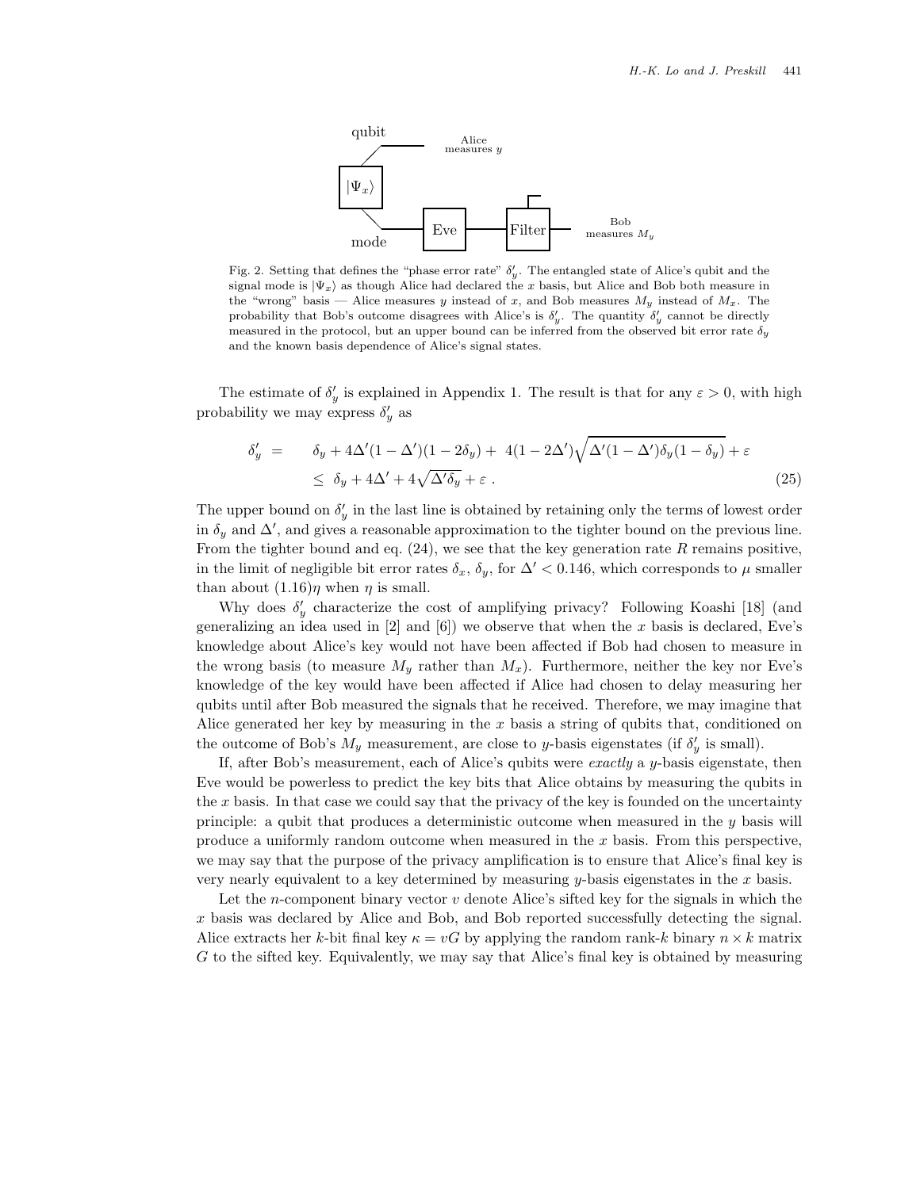

Fig. 2. Setting that defines the "phase error rate"  $\delta'_{y}$ . The entangled state of Alice's qubit and the signal mode is  $|\Psi_x\rangle$  as though Alice had declared the x basis, but Alice and Bob both measure in the "wrong" basis — Alice measures y instead of x, and Bob measures  $M_y$  instead of  $M_x$ . The probability that Bob's outcome disagrees with Alice's is  $\delta'_y$ . The quantity  $\delta'_y$  cannot be directly measured in the protocol, but an upper bound can be inferred from the observed bit error rate δ*<sup>y</sup>* and the known basis dependence of Alice's signal states.

The estimate of  $\delta'_y$  is explained in Appendix 1. The result is that for any  $\varepsilon > 0$ , with high probability we may express  $\delta'_y$  as

$$
\delta'_y = \delta_y + 4\Delta'(1 - \Delta')(1 - 2\delta_y) + 4(1 - 2\Delta')\sqrt{\Delta'(1 - \Delta')\delta_y(1 - \delta_y)} + \varepsilon
$$
  

$$
\leq \delta_y + 4\Delta' + 4\sqrt{\Delta'\delta_y} + \varepsilon.
$$
 (25)

The upper bound on  $\delta'_y$  in the last line is obtained by retaining only the terms of lowest order in  $\delta_y$  and  $\Delta'$ , and gives a reasonable approximation to the tighter bound on the previous line. From the tighter bound and eq.  $(24)$ , we see that the key generation rate R remains positive, in the limit of negligible bit error rates  $\delta_x$ ,  $\delta_y$ , for  $\Delta' < 0.146$ , which corresponds to  $\mu$  smaller than about  $(1.16)\eta$  when  $\eta$  is small.

Why does  $\delta'_y$  characterize the cost of amplifying privacy? Following Koashi [18] (and generalizing an idea used in  $[2]$  and  $[6]$ ) we observe that when the x basis is declared, Eve's knowledge about Alice's key would not have been affected if Bob had chosen to measure in the wrong basis (to measure  $M_y$  rather than  $M_x$ ). Furthermore, neither the key nor Eve's knowledge of the key would have been affected if Alice had chosen to delay measuring her qubits until after Bob measured the signals that he received. Therefore, we may imagine that Alice generated her key by measuring in the  $x$  basis a string of qubits that, conditioned on the outcome of Bob's  $M_y$  measurement, are close to y-basis eigenstates (if  $\delta'_y$  is small).

If, after Bob's measurement, each of Alice's qubits were *exactly* a y-basis eigenstate, then Eve would be powerless to predict the key bits that Alice obtains by measuring the qubits in the  $x$  basis. In that case we could say that the privacy of the key is founded on the uncertainty principle: a qubit that produces a deterministic outcome when measured in the y basis will produce a uniformly random outcome when measured in the  $x$  basis. From this perspective, we may say that the purpose of the privacy amplification is to ensure that Alice's final key is very nearly equivalent to a key determined by measuring  $y$ -basis eigenstates in the  $x$  basis.

Let the *n*-component binary vector  $v$  denote Alice's sifted key for the signals in which the x basis was declared by Alice and Bob, and Bob reported successfully detecting the signal. Alice extracts her k-bit final key  $\kappa = vG$  by applying the random rank-k binary  $n \times k$  matrix G to the sifted key. Equivalently, we may say that Alice's final key is obtained by measuring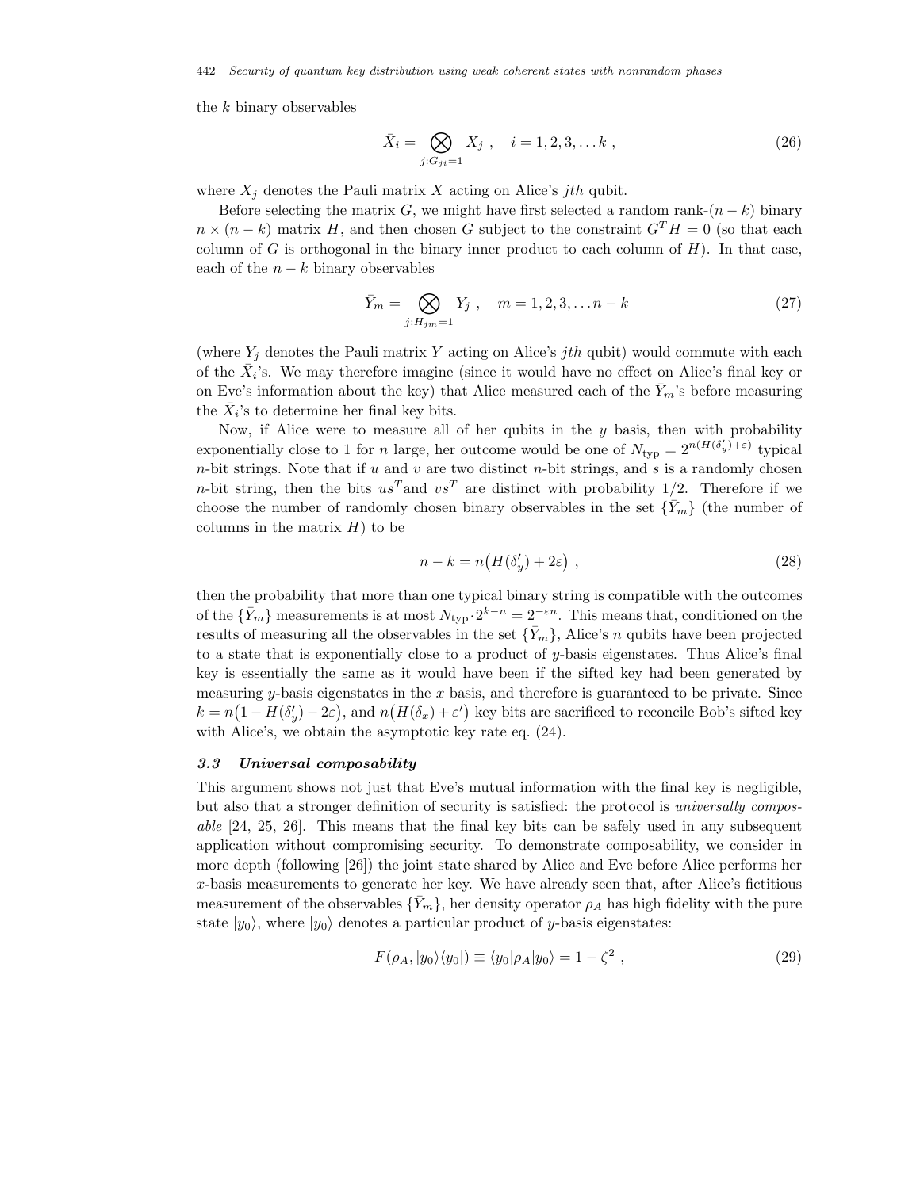442 *Security of quantum key distribution using weak coherent states with nonrandom phases*

the  $k$  binary observables

$$
\bar{X}_i = \bigotimes_{j:G_{ji}=1} X_j , \quad i = 1, 2, 3, \dots k ,
$$
\n(26)

where  $X_i$  denotes the Pauli matrix X acting on Alice's jth qubit.

Before selecting the matrix G, we might have first selected a random rank- $(n - k)$  binary  $n \times (n - k)$  matrix H, and then chosen G subject to the constraint  $G<sup>T</sup>H = 0$  (so that each column of G is orthogonal in the binary inner product to each column of  $H$ ). In that case, each of the  $n - k$  binary observables

$$
\bar{Y}_m = \bigotimes_{j:H_{jm}=1} Y_j \ , \quad m = 1, 2, 3, \dots n-k \tag{27}
$$

(where  $Y_i$  denotes the Pauli matrix Y acting on Alice's jth qubit) would commute with each of the  $\bar{X}_i$ 's. We may therefore imagine (since it would have no effect on Alice's final key or on Eve's information about the key) that Alice measured each of the  $Y_m$ 's before measuring the  $\overline{X}_i$ 's to determine her final key bits.

Now, if Alice were to measure all of her qubits in the  $y$  basis, then with probability exponentially close to 1 for *n* large, her outcome would be one of  $N_{\text{typ}} = 2^{n(H(\delta_y') + \varepsilon)}$  typical  $n$ -bit strings. Note that if  $u$  and  $v$  are two distinct  $n$ -bit strings, and  $s$  is a randomly chosen *n*-bit string, then the bits  $u s^T$  and  $v s^T$  are distinct with probability 1/2. Therefore if we choose the number of randomly chosen binary observables in the set  $\{\bar{Y}_m\}$  (the number of columns in the matrix  $H$ ) to be

$$
n - k = n\big(H(\delta_y') + 2\varepsilon\big) \tag{28}
$$

then the probability that more than one typical binary string is compatible with the outcomes of the  $\{\bar{Y}_m\}$  measurements is at most  $N_{\text{typ}} \cdot 2^{k-n} = 2^{-\varepsilon n}$ . This means that, conditioned on the results of measuring all the observables in the set  $\{\bar{Y}_m\}$ , Alice's n qubits have been projected to a state that is exponentially close to a product of y-basis eigenstates. Thus Alice's final key is essentially the same as it would have been if the sifted key had been generated by measuring y-basis eigenstates in the  $x$  basis, and therefore is guaranteed to be private. Since  $k = n(1 - H(\delta_y') - 2\varepsilon)$ , and  $n(H(\delta_x) + \varepsilon')$  key bits are sacrificed to reconcile Bob's sifted key with Alice's, we obtain the asymptotic key rate eq. (24).

#### *3.3 Universal composability*

This argument shows not just that Eve's mutual information with the final key is negligible, but also that a stronger definition of security is satisfied: the protocol is *universally composable* [24, 25, 26]. This means that the final key bits can be safely used in any subsequent application without compromising security. To demonstrate composability, we consider in more depth (following [26]) the joint state shared by Alice and Eve before Alice performs her x-basis measurements to generate her key. We have already seen that, after Alice's fictitious measurement of the observables  $\{Y_m\}$ , her density operator  $\rho_A$  has high fidelity with the pure state  $|y_0\rangle$ , where  $|y_0\rangle$  denotes a particular product of y-basis eigenstates:

$$
F(\rho_A, |y_0\rangle\langle y_0|) \equiv \langle y_0|\rho_A|y_0\rangle = 1 - \zeta^2 , \qquad (29)
$$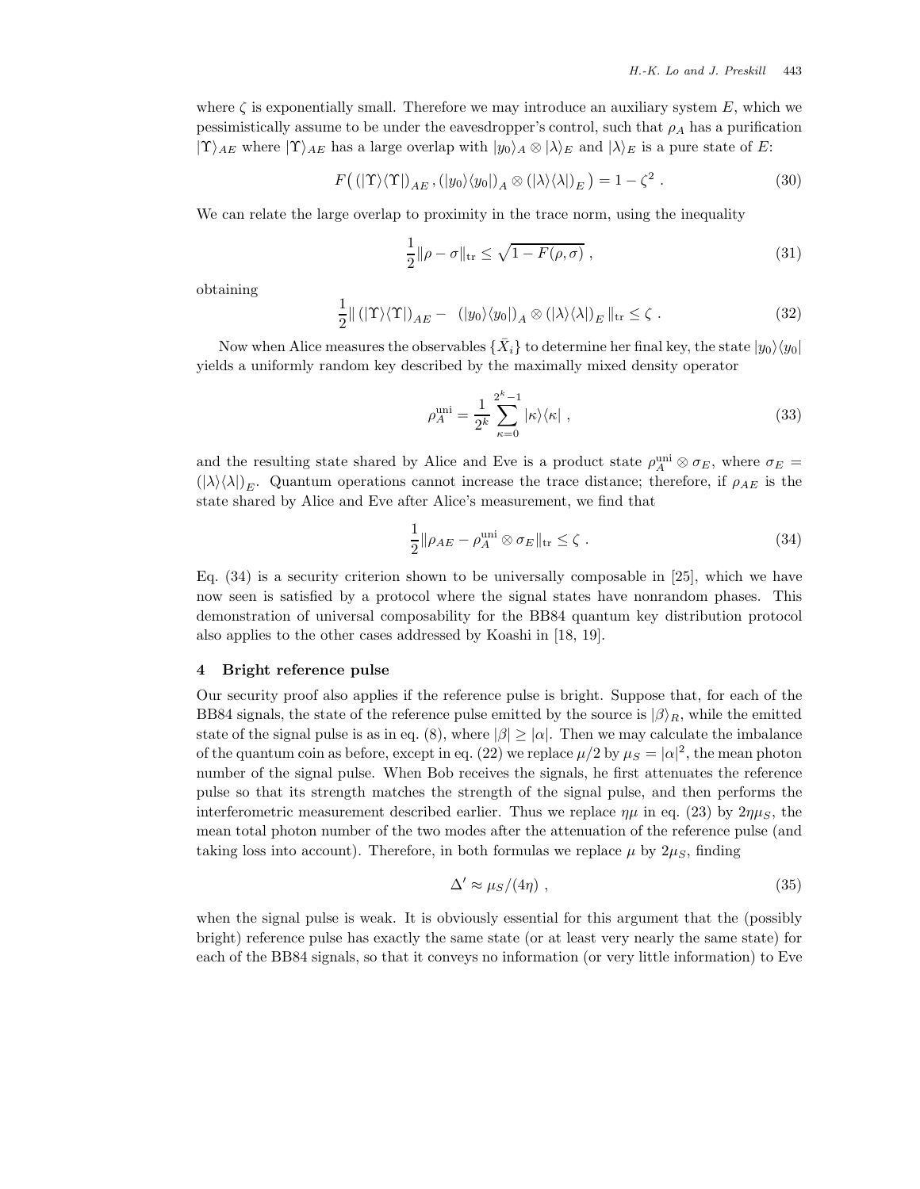where  $\zeta$  is exponentially small. Therefore we may introduce an auxiliary system  $E$ , which we pessimistically assume to be under the eavesdropper's control, such that  $\rho_A$  has a purification  $|\Upsilon\rangle_{AE}$  where  $|\Upsilon\rangle_{AE}$  has a large overlap with  $|y_0\rangle_A \otimes |\lambda\rangle_E$  and  $|\lambda\rangle_E$  is a pure state of E:

$$
F((|\Upsilon\rangle\langle\Upsilon|)_{AE}, (|y_0\rangle\langle y_0|)_A \otimes (|\lambda\rangle\langle\lambda|)_E) = 1 - \zeta^2.
$$
 (30)

We can relate the large overlap to proximity in the trace norm, using the inequality

$$
\frac{1}{2} \|\rho - \sigma\|_{\text{tr}} \le \sqrt{1 - F(\rho, \sigma)} \,, \tag{31}
$$

obtaining

$$
\frac{1}{2} \|\left( |\Upsilon\rangle\langle\Upsilon|\right)_{AE} - \left( |y_0\rangle\langle y_0|\right)_A \otimes \left( |\lambda\rangle\langle\lambda|\right)_E\|_{\text{tr}} \le \zeta . \tag{32}
$$

Now when Alice measures the observables  $\{\bar{X}_i\}$  to determine her final key, the state  $|y_0\rangle\langle y_0|$ yields a uniformly random key described by the maximally mixed density operator

$$
\rho_A^{\text{uni}} = \frac{1}{2^k} \sum_{\kappa=0}^{2^k - 1} |\kappa\rangle\langle\kappa| \;, \tag{33}
$$

and the resulting state shared by Alice and Eve is a product state  $\rho_A^{\text{uni}} \otimes \sigma_E$ , where  $\sigma_E =$  $(|\lambda\rangle\langle\lambda|)_E$ . Quantum operations cannot increase the trace distance; therefore, if  $\rho_{AE}$  is the state shared by Alice and Eve after Alice's measurement, we find that

$$
\frac{1}{2} \|\rho_{AE} - \rho_A^{\text{uni}} \otimes \sigma_E\|_{\text{tr}} \le \zeta \tag{34}
$$

Eq. (34) is a security criterion shown to be universally composable in [25], which we have now seen is satisfied by a protocol where the signal states have nonrandom phases. This demonstration of universal composability for the BB84 quantum key distribution protocol also applies to the other cases addressed by Koashi in [18, 19].

#### **4 Bright reference pulse**

Our security proof also applies if the reference pulse is bright. Suppose that, for each of the BB84 signals, the state of the reference pulse emitted by the source is  $\ket{\beta}_R$ , while the emitted state of the signal pulse is as in eq. (8), where  $|\beta| \geq |\alpha|$ . Then we may calculate the imbalance of the quantum coin as before, except in eq. (22) we replace  $\mu/2$  by  $\mu_S = |\alpha|^2$ , the mean photon number of the signal pulse. When Bob receives the signals, he first attenuates the reference pulse so that its strength matches the strength of the signal pulse, and then performs the interferometric measurement described earlier. Thus we replace  $\eta\mu$  in eq. (23) by  $2\eta\mu_s$ , the mean total photon number of the two modes after the attenuation of the reference pulse (and taking loss into account). Therefore, in both formulas we replace  $\mu$  by  $2\mu<sub>S</sub>$ , finding

$$
\Delta' \approx \mu_S / (4\eta) \tag{35}
$$

when the signal pulse is weak. It is obviously essential for this argument that the (possibly bright) reference pulse has exactly the same state (or at least very nearly the same state) for each of the BB84 signals, so that it conveys no information (or very little information) to Eve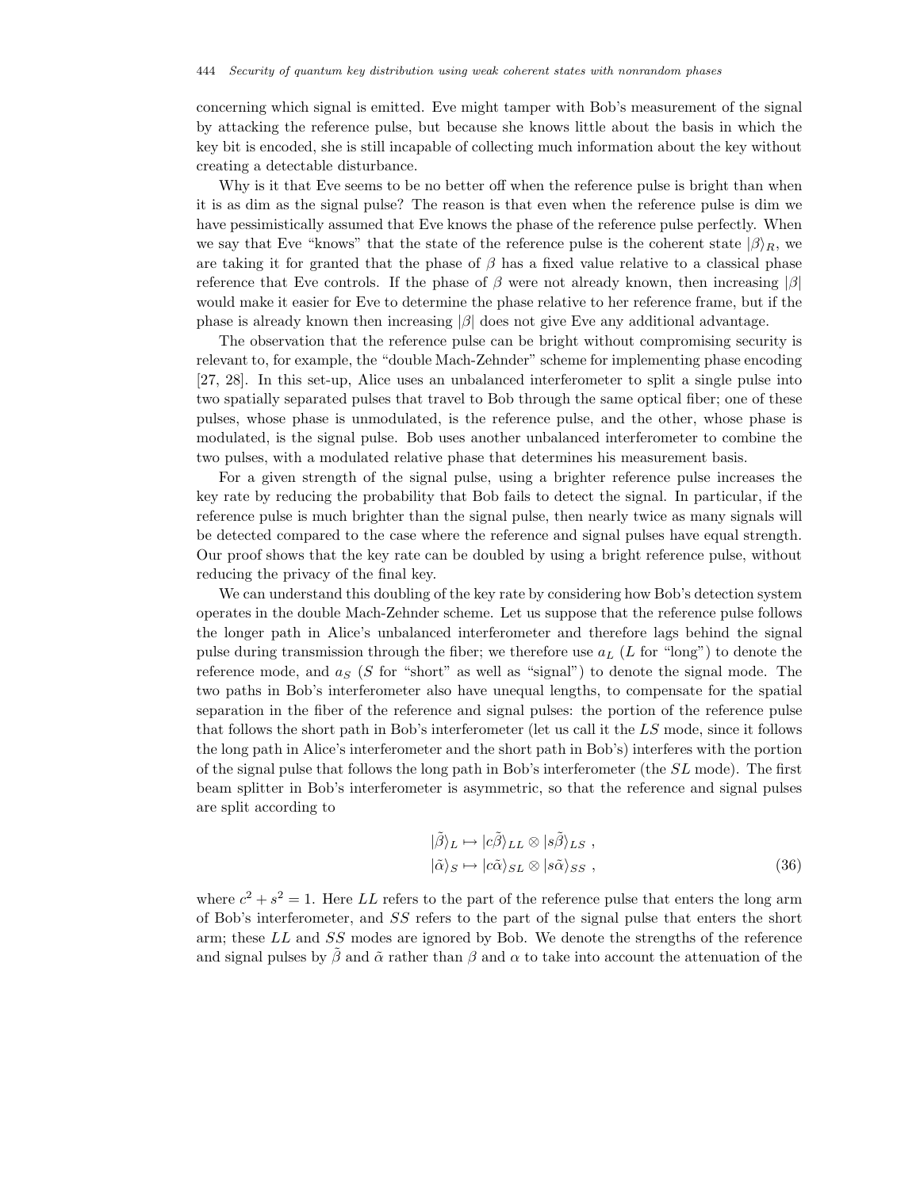concerning which signal is emitted. Eve might tamper with Bob's measurement of the signal by attacking the reference pulse, but because she knows little about the basis in which the key bit is encoded, she is still incapable of collecting much information about the key without creating a detectable disturbance.

Why is it that Eve seems to be no better off when the reference pulse is bright than when it is as dim as the signal pulse? The reason is that even when the reference pulse is dim we have pessimistically assumed that Eve knows the phase of the reference pulse perfectly. When we say that Eve "knows" that the state of the reference pulse is the coherent state  $|\beta\rangle_R$ , we are taking it for granted that the phase of  $\beta$  has a fixed value relative to a classical phase reference that Eve controls. If the phase of  $\beta$  were not already known, then increasing  $|\beta|$ would make it easier for Eve to determine the phase relative to her reference frame, but if the phase is already known then increasing  $|\beta|$  does not give Eve any additional advantage.

The observation that the reference pulse can be bright without compromising security is relevant to, for example, the "double Mach-Zehnder" scheme for implementing phase encoding [27, 28]. In this set-up, Alice uses an unbalanced interferometer to split a single pulse into two spatially separated pulses that travel to Bob through the same optical fiber; one of these pulses, whose phase is unmodulated, is the reference pulse, and the other, whose phase is modulated, is the signal pulse. Bob uses another unbalanced interferometer to combine the two pulses, with a modulated relative phase that determines his measurement basis.

For a given strength of the signal pulse, using a brighter reference pulse increases the key rate by reducing the probability that Bob fails to detect the signal. In particular, if the reference pulse is much brighter than the signal pulse, then nearly twice as many signals will be detected compared to the case where the reference and signal pulses have equal strength. Our proof shows that the key rate can be doubled by using a bright reference pulse, without reducing the privacy of the final key.

We can understand this doubling of the key rate by considering how Bob's detection system operates in the double Mach-Zehnder scheme. Let us suppose that the reference pulse follows the longer path in Alice's unbalanced interferometer and therefore lags behind the signal pulse during transmission through the fiber; we therefore use  $a_L$  (L for "long") to denote the reference mode, and  $a_S$  (S for "short" as well as "signal") to denote the signal mode. The two paths in Bob's interferometer also have unequal lengths, to compensate for the spatial separation in the fiber of the reference and signal pulses: the portion of the reference pulse that follows the short path in Bob's interferometer (let us call it the LS mode, since it follows the long path in Alice's interferometer and the short path in Bob's) interferes with the portion of the signal pulse that follows the long path in Bob's interferometer (the SL mode). The first beam splitter in Bob's interferometer is asymmetric, so that the reference and signal pulses are split according to

$$
\begin{aligned}\n|\tilde{\beta}\rangle_L &\mapsto |c\tilde{\beta}\rangle_{LL} \otimes |s\tilde{\beta}\rangle_{LS} , \\
|\tilde{\alpha}\rangle_S &\mapsto |c\tilde{\alpha}\rangle_{SL} \otimes |s\tilde{\alpha}\rangle_{SS} ,\n\end{aligned} \tag{36}
$$

where  $c^2 + s^2 = 1$ . Here LL refers to the part of the reference pulse that enters the long arm of Bob's interferometer, and SS refers to the part of the signal pulse that enters the short arm; these LL and SS modes are ignored by Bob. We denote the strengths of the reference and signal pulses by  $\hat{\beta}$  and  $\tilde{\alpha}$  rather than  $\beta$  and  $\alpha$  to take into account the attenuation of the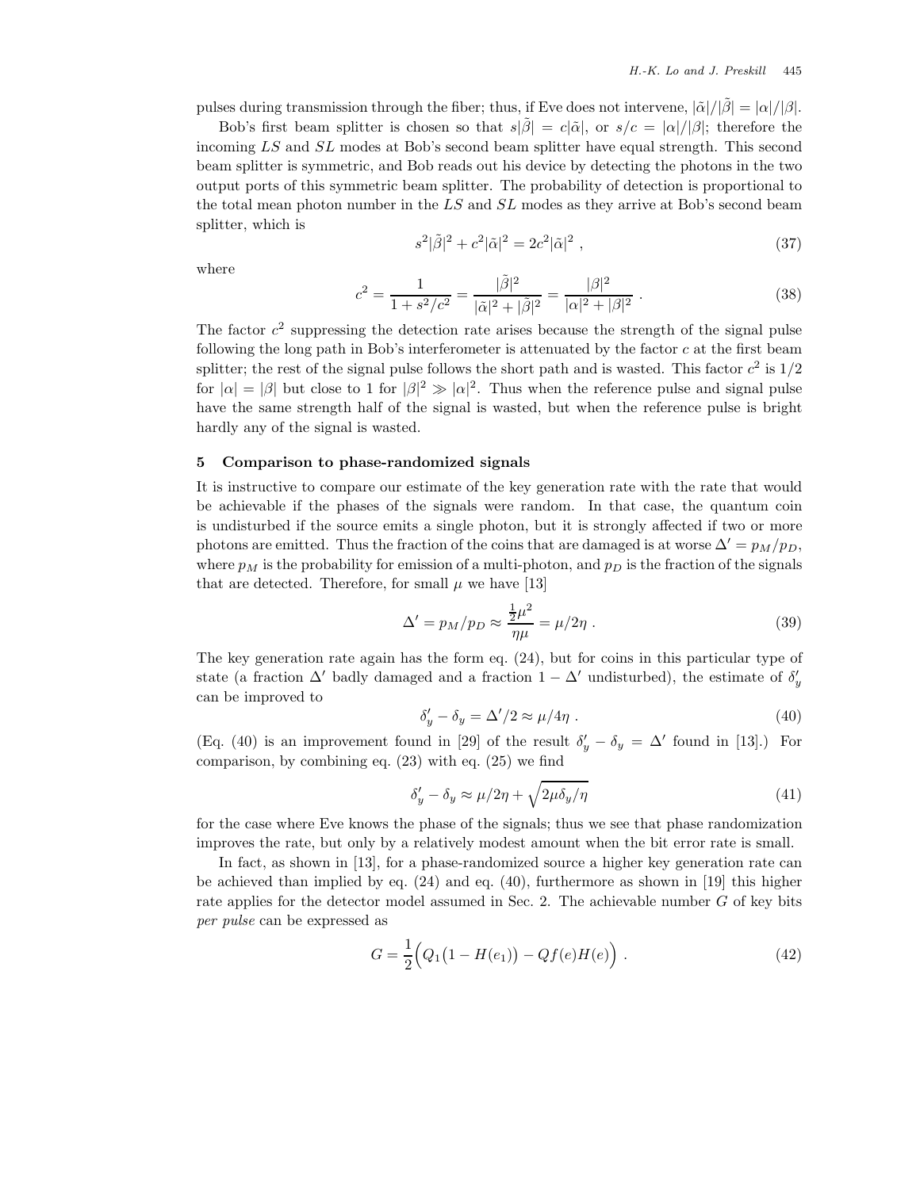pulses during transmission through the fiber; thus, if Eve does not intervene,  $|\tilde{\alpha}|/|\tilde{\beta}| = |\alpha|/|\beta|$ .

Bob's first beam splitter is chosen so that  $s|\tilde{\beta}| = c|\tilde{\alpha}|$ , or  $s/c = |\alpha|/|\beta|$ ; therefore the incoming LS and SL modes at Bob's second beam splitter have equal strength. This second beam splitter is symmetric, and Bob reads out his device by detecting the photons in the two output ports of this symmetric beam splitter. The probability of detection is proportional to the total mean photon number in the  $LS$  and  $SL$  modes as they arrive at Bob's second beam splitter, which is

$$
s^2|\tilde{\beta}|^2 + c^2|\tilde{\alpha}|^2 = 2c^2|\tilde{\alpha}|^2 , \qquad (37)
$$

where

$$
c^{2} = \frac{1}{1 + s^{2}/c^{2}} = \frac{|\tilde{\beta}|^{2}}{|\tilde{\alpha}|^{2} + |\tilde{\beta}|^{2}} = \frac{|\beta|^{2}}{|\alpha|^{2} + |\beta|^{2}}.
$$
 (38)

The factor  $c^2$  suppressing the detection rate arises because the strength of the signal pulse following the long path in Bob's interferometer is attenuated by the factor  $c$  at the first beam splitter; the rest of the signal pulse follows the short path and is wasted. This factor  $c^2$  is  $1/2$ for  $|\alpha| = |\beta|$  but close to 1 for  $|\beta|^2 \gg |\alpha|^2$ . Thus when the reference pulse and signal pulse have the same strength half of the signal is wasted, but when the reference pulse is bright hardly any of the signal is wasted.

#### **5 Comparison to phase-randomized signals**

It is instructive to compare our estimate of the key generation rate with the rate that would be achievable if the phases of the signals were random. In that case, the quantum coin is undisturbed if the source emits a single photon, but it is strongly affected if two or more photons are emitted. Thus the fraction of the coins that are damaged is at worse  $\Delta' = p_M/p_D$ , where  $p_M$  is the probability for emission of a multi-photon, and  $p_D$  is the fraction of the signals that are detected. Therefore, for small  $\mu$  we have [13]

$$
\Delta' = p_M/p_D \approx \frac{\frac{1}{2}\mu^2}{\eta\mu} = \mu/2\eta \ . \tag{39}
$$

The key generation rate again has the form eq. (24), but for coins in this particular type of state (a fraction  $\Delta'$  badly damaged and a fraction  $1 - \Delta'$  undisturbed), the estimate of  $\delta'_y$ can be improved to

$$
\delta'_y - \delta_y = \Delta'/2 \approx \mu/4\eta \ . \tag{40}
$$

(Eq. (40) is an improvement found in [29] of the result  $\delta'_y - \delta_y = \Delta'$  found in [13].) For comparison, by combining eq. (23) with eq. (25) we find

$$
\delta_y' - \delta_y \approx \mu/2\eta + \sqrt{2\mu\delta_y/\eta} \tag{41}
$$

for the case where Eve knows the phase of the signals; thus we see that phase randomization improves the rate, but only by a relatively modest amount when the bit error rate is small.

In fact, as shown in [13], for a phase-randomized source a higher key generation rate can be achieved than implied by eq. (24) and eq. (40), furthermore as shown in [19] this higher rate applies for the detector model assumed in Sec. 2. The achievable number  $G$  of key bits *per pulse* can be expressed as

$$
G = \frac{1}{2} (Q_1 (1 - H(e_1)) - Qf(e)H(e)) \tag{42}
$$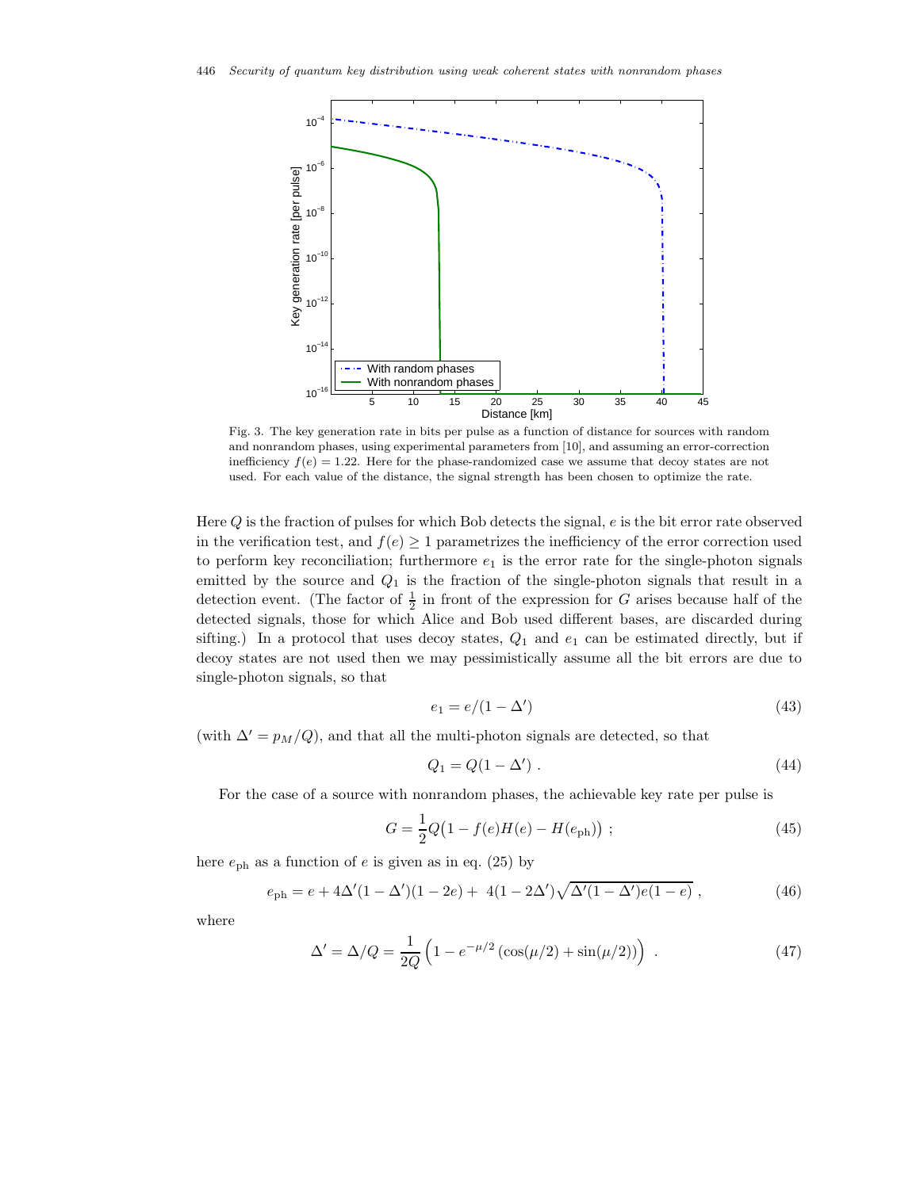

Fig. 3. The key generation rate in bits per pulse as a function of distance for sources with random and nonrandom phases, using experimental parameters from [10], and assuming an error-correction inefficiency  $f(e)=1.22$ . Here for the phase-randomized case we assume that decoy states are not used. For each value of the distance, the signal strength has been chosen to optimize the rate.

Here Q is the fraction of pulses for which Bob detects the signal, e is the bit error rate observed in the verification test, and  $f(e) \geq 1$  parametrizes the inefficiency of the error correction used to perform key reconciliation; furthermore  $e_1$  is the error rate for the single-photon signals emitted by the source and  $Q_1$  is the fraction of the single-photon signals that result in a detection event. (The factor of  $\frac{1}{2}$  in front of the expression for G arises because half of the detected signals, those for which Alice and Bob used different bases, are discarded during sifting.) In a protocol that uses decoy states,  $Q_1$  and  $e_1$  can be estimated directly, but if decoy states are not used then we may pessimistically assume all the bit errors are due to single-photon signals, so that

$$
e_1 = e/(1 - \Delta') \tag{43}
$$

(with  $\Delta' = p_M/Q$ ), and that all the multi-photon signals are detected, so that

$$
Q_1 = Q(1 - \Delta') \tag{44}
$$

For the case of a source with nonrandom phases, the achievable key rate per pulse is

$$
G = \frac{1}{2}Q(1 - f(e)H(e) - H(e_{\text{ph}})) ; \qquad (45)
$$

here  $e_{\rm ph}$  as a function of e is given as in eq. (25) by

$$
e_{\rm ph} = e + 4\Delta'(1 - \Delta')(1 - 2e) + 4(1 - 2\Delta')\sqrt{\Delta'(1 - \Delta')e(1 - e)}, \qquad (46)
$$

where

$$
\Delta' = \Delta/Q = \frac{1}{2Q} \left( 1 - e^{-\mu/2} \left( \cos(\mu/2) + \sin(\mu/2) \right) \right) \,. \tag{47}
$$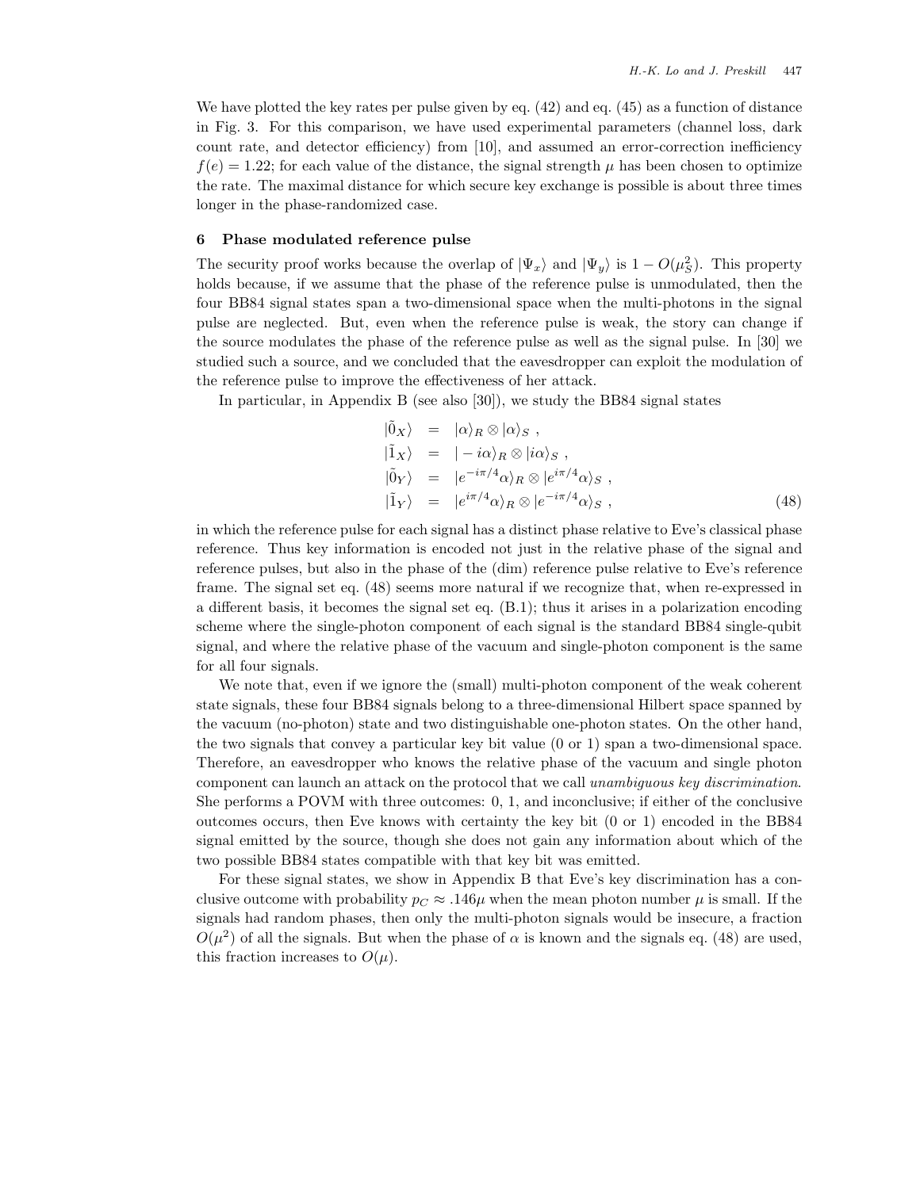We have plotted the key rates per pulse given by eq. (42) and eq. (45) as a function of distance in Fig. 3. For this comparison, we have used experimental parameters (channel loss, dark count rate, and detector efficiency) from [10], and assumed an error-correction inefficiency  $f(e)=1.22$ ; for each value of the distance, the signal strength  $\mu$  has been chosen to optimize the rate. The maximal distance for which secure key exchange is possible is about three times longer in the phase-randomized case.

#### **6 Phase modulated reference pulse**

The security proof works because the overlap of  $|\Psi_x\rangle$  and  $|\Psi_y\rangle$  is  $1 - O(\mu_S^2)$ . This property holds because, if we assume that the phase of the reference pulse is unmodulated, then the four BB84 signal states span a two-dimensional space when the multi-photons in the signal pulse are neglected. But, even when the reference pulse is weak, the story can change if the source modulates the phase of the reference pulse as well as the signal pulse. In [30] we studied such a source, and we concluded that the eavesdropper can exploit the modulation of the reference pulse to improve the effectiveness of her attack.

In particular, in Appendix B (see also [30]), we study the BB84 signal states

$$
\begin{aligned}\n|\tilde{0}_X\rangle &= |\alpha\rangle_R \otimes |\alpha\rangle_S ,\\
|\tilde{1}_X\rangle &= |-\iota \alpha\rangle_R \otimes |\iota \alpha\rangle_S ,\\
|\tilde{0}_Y\rangle &= |e^{-i\pi/4} \alpha\rangle_R \otimes |e^{i\pi/4} \alpha\rangle_S ,\\
|\tilde{1}_Y\rangle &= |e^{i\pi/4} \alpha\rangle_R \otimes |e^{-i\pi/4} \alpha\rangle_S ,\n\end{aligned} \tag{48}
$$

in which the reference pulse for each signal has a distinct phase relative to Eve's classical phase reference. Thus key information is encoded not just in the relative phase of the signal and reference pulses, but also in the phase of the (dim) reference pulse relative to Eve's reference frame. The signal set eq. (48) seems more natural if we recognize that, when re-expressed in a different basis, it becomes the signal set eq. (B.1); thus it arises in a polarization encoding scheme where the single-photon component of each signal is the standard BB84 single-qubit signal, and where the relative phase of the vacuum and single-photon component is the same for all four signals.

We note that, even if we ignore the (small) multi-photon component of the weak coherent state signals, these four BB84 signals belong to a three-dimensional Hilbert space spanned by the vacuum (no-photon) state and two distinguishable one-photon states. On the other hand, the two signals that convey a particular key bit value (0 or 1) span a two-dimensional space. Therefore, an eavesdropper who knows the relative phase of the vacuum and single photon component can launch an attack on the protocol that we call *unambiguous key discrimination*. She performs a POVM with three outcomes: 0, 1, and inconclusive; if either of the conclusive outcomes occurs, then Eve knows with certainty the key bit (0 or 1) encoded in the BB84 signal emitted by the source, though she does not gain any information about which of the two possible BB84 states compatible with that key bit was emitted.

For these signal states, we show in Appendix B that Eve's key discrimination has a conclusive outcome with probability  $p_C \approx .146\mu$  when the mean photon number  $\mu$  is small. If the signals had random phases, then only the multi-photon signals would be insecure, a fraction  $O(\mu^2)$  of all the signals. But when the phase of  $\alpha$  is known and the signals eq. (48) are used, this fraction increases to  $O(\mu)$ .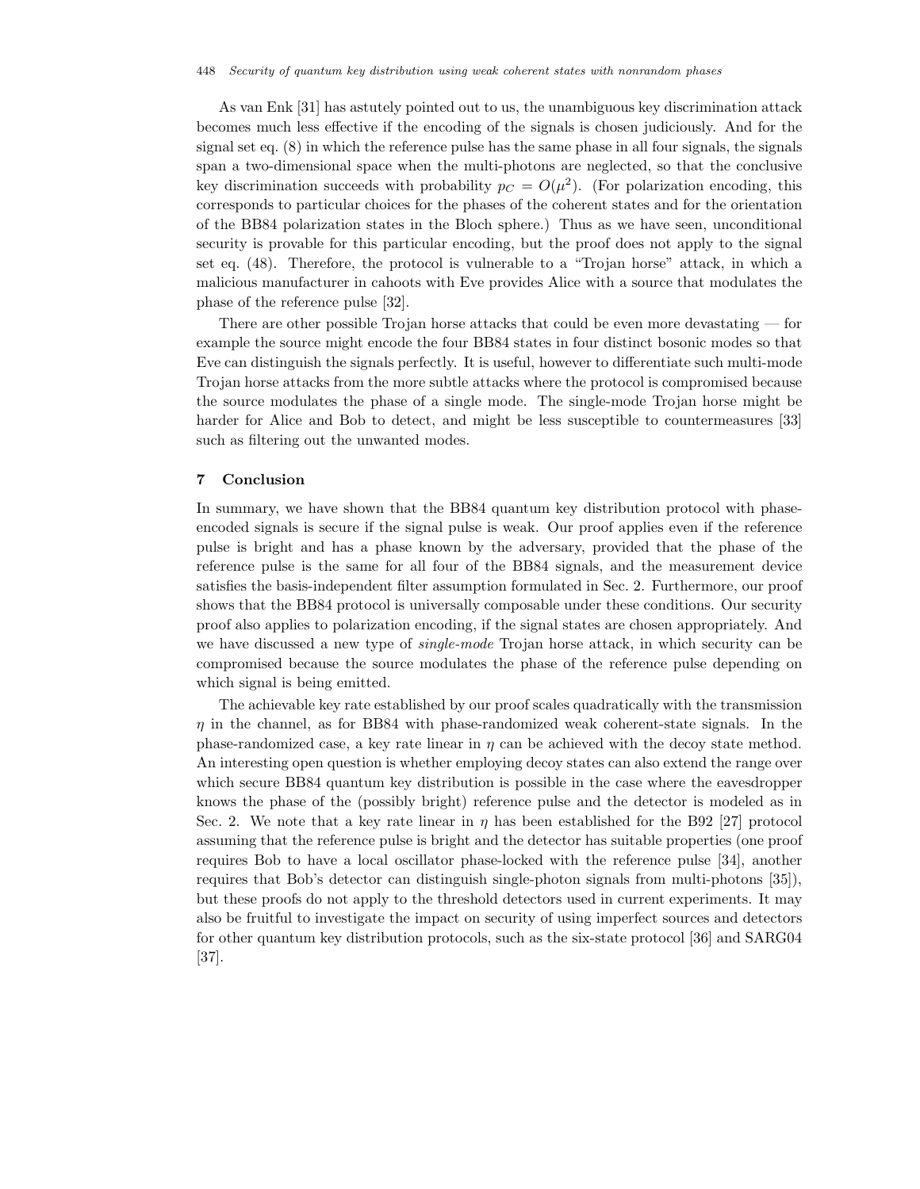As van Enk [31] has astutely pointed out to us, the unambiguous key discrimination attack becomes much less effective if the encoding of the signals is chosen judiciously. And for the signal set eq. (8) in which the reference pulse has the same phase in all four signals, the signals span a two-dimensional space when the multi-photons are neglected, so that the conclusive key discrimination succeeds with probability  $p_C = O(\mu^2)$ . (For polarization encoding, this corresponds to particular choices for the phases of the coherent states and for the orientation of the BB84 polarization states in the Bloch sphere.) Thus as we have seen, unconditional security is provable for this particular encoding, but the proof does not apply to the signal set eq. (48). Therefore, the protocol is vulnerable to a "Trojan horse" attack, in which a malicious manufacturer in cahoots with Eve provides Alice with a source that modulates the phase of the reference pulse [32].

There are other possible Trojan horse attacks that could be even more devastating  $-$  for example the source might encode the four BB84 states in four distinct bosonic modes so that Eve can distinguish the signals perfectly. It is useful, however to differentiate such multi-mode Trojan horse attacks from the more subtle attacks where the protocol is compromised because the source modulates the phase of a single mode. The single-mode Trojan horse might be harder for Alice and Bob to detect, and might be less susceptible to countermeasures [33] such as filtering out the unwanted modes.

## **7 Conclusion**

In summary, we have shown that the BB84 quantum key distribution protocol with phaseencoded signals is secure if the signal pulse is weak. Our proof applies even if the reference pulse is bright and has a phase known by the adversary, provided that the phase of the reference pulse is the same for all four of the BB84 signals, and the measurement device satisfies the basis-independent filter assumption formulated in Sec. 2. Furthermore, our proof shows that the BB84 protocol is universally composable under these conditions. Our security proof also applies to polarization encoding, if the signal states are chosen appropriately. And we have discussed a new type of *single-mode* Trojan horse attack, in which security can be compromised because the source modulates the phase of the reference pulse depending on which signal is being emitted.

The achievable key rate established by our proof scales quadratically with the transmission  $\eta$  in the channel, as for BB84 with phase-randomized weak coherent-state signals. In the phase-randomized case, a key rate linear in  $\eta$  can be achieved with the decoy state method. An interesting open question is whether employing decoy states can also extend the range over which secure BB84 quantum key distribution is possible in the case where the eavesdropper knows the phase of the (possibly bright) reference pulse and the detector is modeled as in Sec. 2. We note that a key rate linear in  $\eta$  has been established for the B92 [27] protocol assuming that the reference pulse is bright and the detector has suitable properties (one proof requires Bob to have a local oscillator phase-locked with the reference pulse [34], another requires that Bob's detector can distinguish single-photon signals from multi-photons [35]), but these proofs do not apply to the threshold detectors used in current experiments. It may also be fruitful to investigate the impact on security of using imperfect sources and detectors for other quantum key distribution protocols, such as the six-state protocol [36] and SARG04 [37].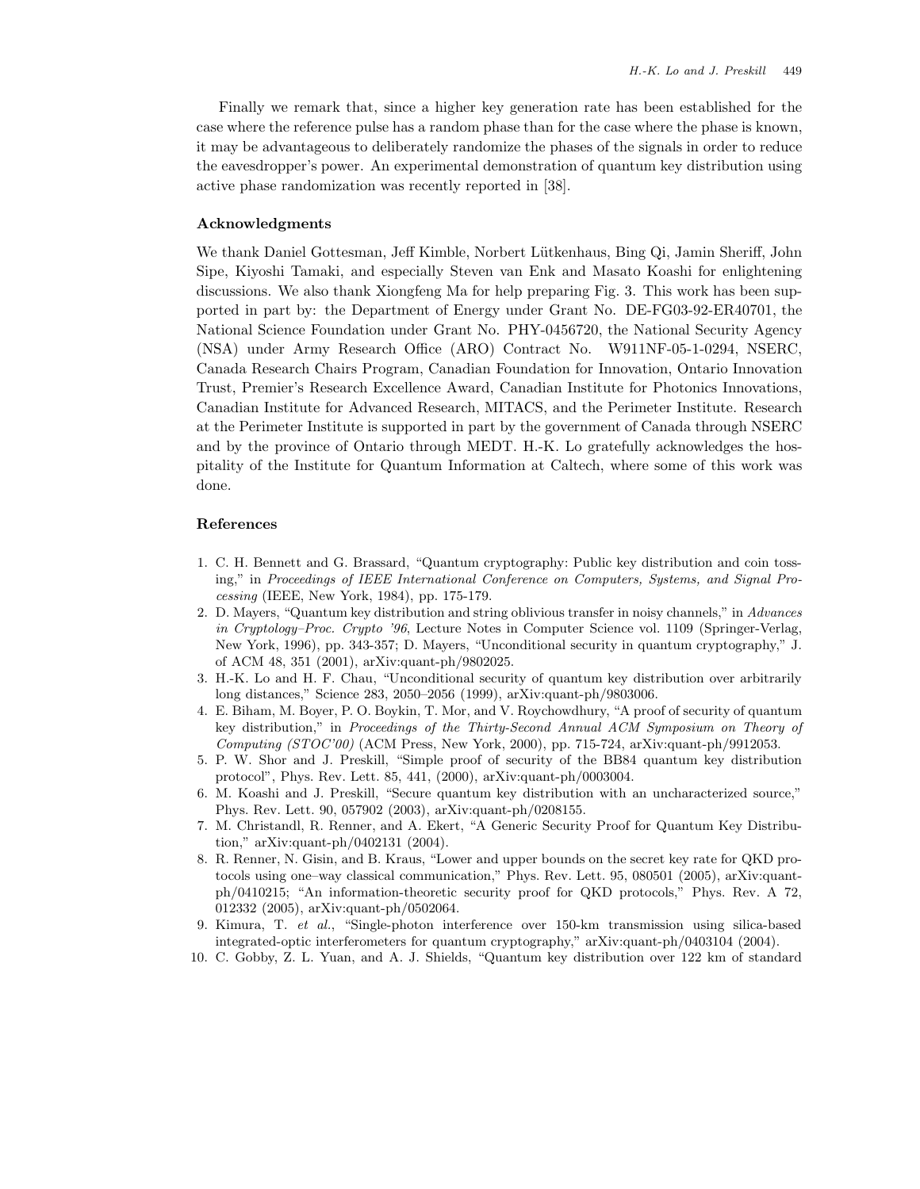Finally we remark that, since a higher key generation rate has been established for the case where the reference pulse has a random phase than for the case where the phase is known, it may be advantageous to deliberately randomize the phases of the signals in order to reduce the eavesdropper's power. An experimental demonstration of quantum key distribution using active phase randomization was recently reported in [38].

### **Acknowledgments**

We thank Daniel Gottesman, Jeff Kimble, Norbert Lütkenhaus, Bing Qi, Jamin Sheriff, John Sipe, Kiyoshi Tamaki, and especially Steven van Enk and Masato Koashi for enlightening discussions. We also thank Xiongfeng Ma for help preparing Fig. 3. This work has been supported in part by: the Department of Energy under Grant No. DE-FG03-92-ER40701, the National Science Foundation under Grant No. PHY-0456720, the National Security Agency (NSA) under Army Research Office (ARO) Contract No. W911NF-05-1-0294, NSERC, Canada Research Chairs Program, Canadian Foundation for Innovation, Ontario Innovation Trust, Premier's Research Excellence Award, Canadian Institute for Photonics Innovations, Canadian Institute for Advanced Research, MITACS, and the Perimeter Institute. Research at the Perimeter Institute is supported in part by the government of Canada through NSERC and by the province of Ontario through MEDT. H.-K. Lo gratefully acknowledges the hospitality of the Institute for Quantum Information at Caltech, where some of this work was done.

### **References**

- 1. C. H. Bennett and G. Brassard, "Quantum cryptography: Public key distribution and coin tossing," in *Proceedings of IEEE International Conference on Computers, Systems, and Signal Processing* (IEEE, New York, 1984), pp. 175-179.
- 2. D. Mayers, "Quantum key distribution and string oblivious transfer in noisy channels," in *Advances in Cryptology–Proc. Crypto '96*, Lecture Notes in Computer Science vol. 1109 (Springer-Verlag, New York, 1996), pp. 343-357; D. Mayers, "Unconditional security in quantum cryptography," J. of ACM 48, 351 (2001), arXiv:quant-ph/9802025.
- 3. H.-K. Lo and H. F. Chau, "Unconditional security of quantum key distribution over arbitrarily long distances," Science 283, 2050–2056 (1999), arXiv:quant-ph/9803006.
- 4. E. Biham, M. Boyer, P. O. Boykin, T. Mor, and V. Roychowdhury, "A proof of security of quantum key distribution," in *Proceedings of the Thirty-Second Annual ACM Symposium on Theory of Computing (STOC'00)* (ACM Press, New York, 2000), pp. 715-724, arXiv:quant-ph/9912053.
- 5. P. W. Shor and J. Preskill, "Simple proof of security of the BB84 quantum key distribution protocol", Phys. Rev. Lett. 85, 441, (2000), arXiv:quant-ph/0003004.
- 6. M. Koashi and J. Preskill, "Secure quantum key distribution with an uncharacterized source," Phys. Rev. Lett. 90, 057902 (2003), arXiv:quant-ph/0208155.
- 7. M. Christandl, R. Renner, and A. Ekert, "A Generic Security Proof for Quantum Key Distribution," arXiv:quant-ph/0402131 (2004).
- 8. R. Renner, N. Gisin, and B. Kraus, "Lower and upper bounds on the secret key rate for QKD protocols using one–way classical communication," Phys. Rev. Lett. 95, 080501 (2005), arXiv:quantph/0410215; "An information-theoretic security proof for QKD protocols," Phys. Rev. A 72, 012332 (2005), arXiv:quant-ph/0502064.
- 9. Kimura, T. *et al.*, "Single-photon interference over 150-km transmission using silica-based integrated-optic interferometers for quantum cryptography," arXiv:quant-ph/0403104 (2004).
- 10. C. Gobby, Z. L. Yuan, and A. J. Shields, "Quantum key distribution over 122 km of standard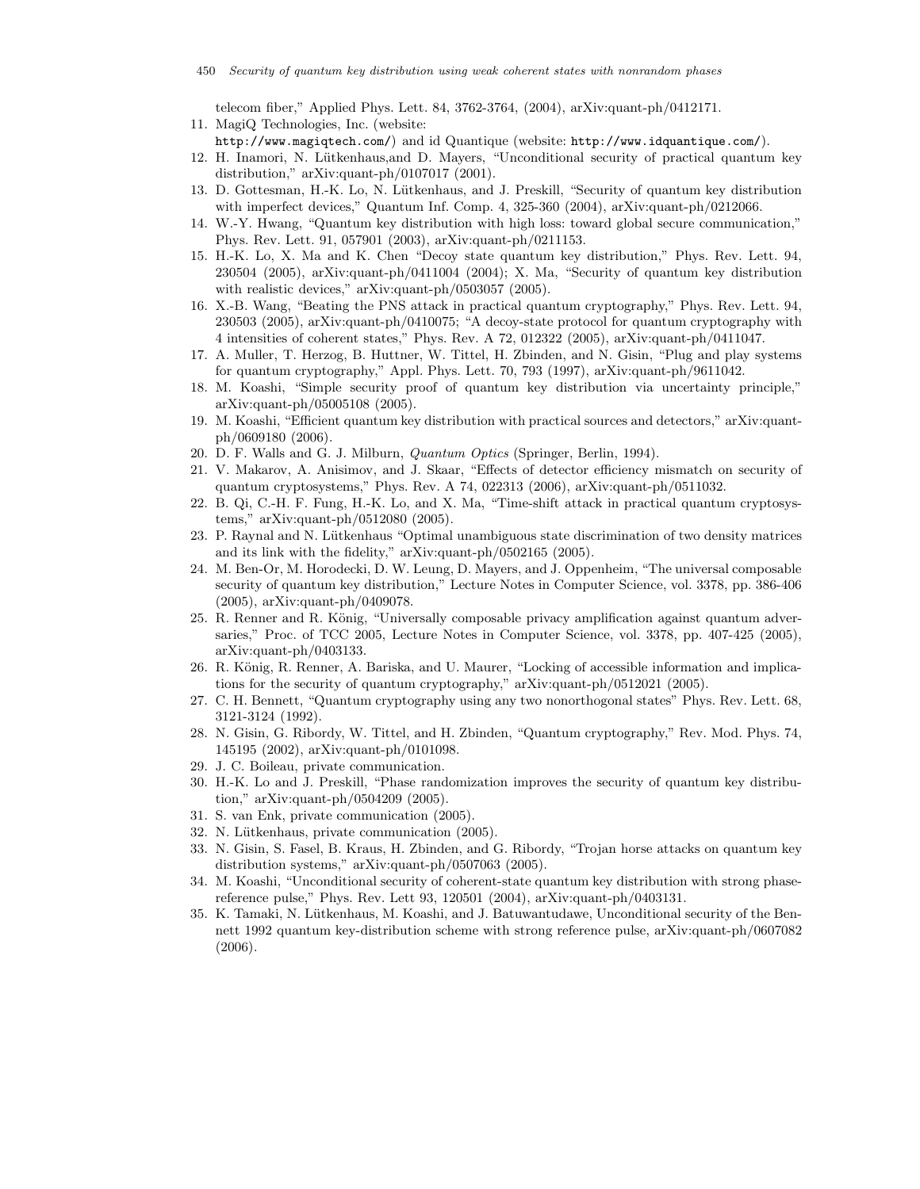telecom fiber," Applied Phys. Lett. 84, 3762-3764, (2004), arXiv:quant-ph/0412171. 11. MagiQ Technologies, Inc. (website:

- http://www.magiqtech.com/) and id Quantique (website: http://www.idquantique.com/).
- 12. H. Inamori, N. Lütkenhaus, and D. Mayers, "Unconditional security of practical quantum key distribution," arXiv:quant-ph/0107017 (2001).
- 13. D. Gottesman, H.-K. Lo, N. Lütkenhaus, and J. Preskill, "Security of quantum key distribution with imperfect devices," Quantum Inf. Comp. 4, 325-360 (2004), arXiv:quant-ph/0212066.
- 14. W.-Y. Hwang, "Quantum key distribution with high loss: toward global secure communication," Phys. Rev. Lett. 91, 057901 (2003), arXiv:quant-ph/0211153.
- 15. H.-K. Lo, X. Ma and K. Chen "Decoy state quantum key distribution," Phys. Rev. Lett. 94, 230504 (2005), arXiv:quant-ph/0411004 (2004); X. Ma, "Security of quantum key distribution with realistic devices," arXiv:quant-ph/0503057 (2005).
- 16. X.-B. Wang, "Beating the PNS attack in practical quantum cryptography," Phys. Rev. Lett. 94, 230503 (2005), arXiv:quant-ph/0410075; "A decoy-state protocol for quantum cryptography with 4 intensities of coherent states," Phys. Rev. A 72, 012322 (2005), arXiv:quant-ph/0411047.
- 17. A. Muller, T. Herzog, B. Huttner, W. Tittel, H. Zbinden, and N. Gisin, "Plug and play systems for quantum cryptography," Appl. Phys. Lett. 70, 793 (1997), arXiv:quant-ph/9611042.
- 18. M. Koashi, "Simple security proof of quantum key distribution via uncertainty principle," arXiv:quant-ph/05005108 (2005).
- 19. M. Koashi, "Efficient quantum key distribution with practical sources and detectors," arXiv:quantph/0609180 (2006).
- 20. D. F. Walls and G. J. Milburn, *Quantum Optics* (Springer, Berlin, 1994).
- 21. V. Makarov, A. Anisimov, and J. Skaar, "Effects of detector efficiency mismatch on security of quantum cryptosystems," Phys. Rev. A 74, 022313 (2006), arXiv:quant-ph/0511032.
- 22. B. Qi, C.-H. F. Fung, H.-K. Lo, and X. Ma, "Time-shift attack in practical quantum cryptosystems," arXiv:quant-ph/0512080 (2005).
- 23. P. Raynal and N. Lütkenhaus "Optimal unambiguous state discrimination of two density matrices and its link with the fidelity," arXiv:quant-ph/0502165 (2005).
- 24. M. Ben-Or, M. Horodecki, D. W. Leung, D. Mayers, and J. Oppenheim, "The universal composable security of quantum key distribution," Lecture Notes in Computer Science, vol. 3378, pp. 386-406 (2005), arXiv:quant-ph/0409078.
- 25. R. Renner and R. König, "Universally composable privacy amplification against quantum adversaries," Proc. of TCC 2005, Lecture Notes in Computer Science, vol. 3378, pp. 407-425 (2005), arXiv:quant-ph/0403133.
- 26. R. König, R. Renner, A. Bariska, and U. Maurer, "Locking of accessible information and implications for the security of quantum cryptography," arXiv:quant-ph/0512021 (2005).
- 27. C. H. Bennett, "Quantum cryptography using any two nonorthogonal states" Phys. Rev. Lett. 68, 3121-3124 (1992).
- 28. N. Gisin, G. Ribordy, W. Tittel, and H. Zbinden, "Quantum cryptography," Rev. Mod. Phys. 74, 145195 (2002), arXiv:quant-ph/0101098.
- 29. J. C. Boileau, private communication.
- 30. H.-K. Lo and J. Preskill, "Phase randomization improves the security of quantum key distribution," arXiv:quant-ph/0504209 (2005).
- 31. S. van Enk, private communication (2005).
- 32. N. Lütkenhaus, private communication (2005).
- 33. N. Gisin, S. Fasel, B. Kraus, H. Zbinden, and G. Ribordy, "Trojan horse attacks on quantum key distribution systems," arXiv:quant-ph/0507063 (2005).
- 34. M. Koashi, "Unconditional security of coherent-state quantum key distribution with strong phasereference pulse," Phys. Rev. Lett 93, 120501 (2004), arXiv:quant-ph/0403131.
- 35. K. Tamaki, N. Lütkenhaus, M. Koashi, and J. Batuwantudawe, Unconditional security of the Bennett 1992 quantum key-distribution scheme with strong reference pulse, arXiv:quant-ph/0607082 (2006).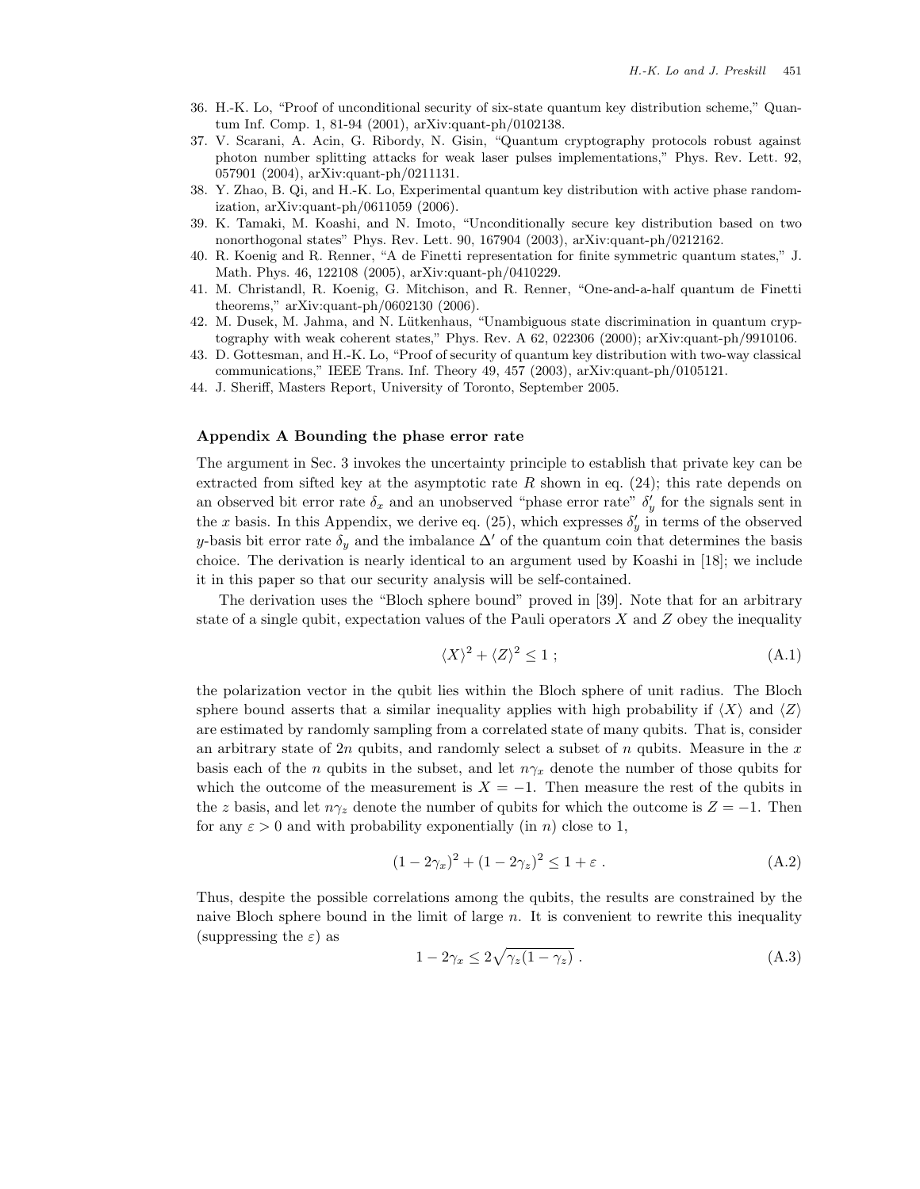- 36. H.-K. Lo, "Proof of unconditional security of six-state quantum key distribution scheme," Quantum Inf. Comp. 1, 81-94 (2001), arXiv:quant-ph/0102138.
- 37. V. Scarani, A. Acin, G. Ribordy, N. Gisin, "Quantum cryptography protocols robust against photon number splitting attacks for weak laser pulses implementations," Phys. Rev. Lett. 92, 057901 (2004), arXiv:quant-ph/0211131.
- 38. Y. Zhao, B. Qi, and H.-K. Lo, Experimental quantum key distribution with active phase randomization, arXiv:quant-ph/0611059 (2006).
- 39. K. Tamaki, M. Koashi, and N. Imoto, "Unconditionally secure key distribution based on two nonorthogonal states" Phys. Rev. Lett. 90, 167904 (2003), arXiv:quant-ph/0212162.
- 40. R. Koenig and R. Renner, "A de Finetti representation for finite symmetric quantum states," J. Math. Phys. 46, 122108 (2005), arXiv:quant-ph/0410229.
- 41. M. Christandl, R. Koenig, G. Mitchison, and R. Renner, "One-and-a-half quantum de Finetti theorems," arXiv:quant-ph/0602130 (2006).
- 42. M. Dusek, M. Jahma, and N. Lütkenhaus, "Unambiguous state discrimination in quantum cryptography with weak coherent states," Phys. Rev. A 62, 022306 (2000); arXiv:quant-ph/9910106.
- 43. D. Gottesman, and H.-K. Lo, "Proof of security of quantum key distribution with two-way classical communications," IEEE Trans. Inf. Theory 49, 457 (2003), arXiv:quant-ph/0105121.
- 44. J. Sheriff, Masters Report, University of Toronto, September 2005.

## **Appendix A Bounding the phase error rate**

The argument in Sec. 3 invokes the uncertainty principle to establish that private key can be extracted from sifted key at the asymptotic rate R shown in eq.  $(24)$ ; this rate depends on an observed bit error rate  $\delta_x$  and an unobserved "phase error rate"  $\delta'_y$  for the signals sent in the x basis. In this Appendix, we derive eq. (25), which expresses  $\delta'_y$  in terms of the observed y-basis bit error rate  $\delta_y$  and the imbalance  $\Delta'$  of the quantum coin that determines the basis choice. The derivation is nearly identical to an argument used by Koashi in [18]; we include it in this paper so that our security analysis will be self-contained.

The derivation uses the "Bloch sphere bound" proved in [39]. Note that for an arbitrary state of a single qubit, expectation values of the Pauli operators  $X$  and  $Z$  obey the inequality

$$
\langle X \rangle^2 + \langle Z \rangle^2 \le 1 \tag{A.1}
$$

the polarization vector in the qubit lies within the Bloch sphere of unit radius. The Bloch sphere bound asserts that a similar inequality applies with high probability if  $\langle X \rangle$  and  $\langle Z \rangle$ are estimated by randomly sampling from a correlated state of many qubits. That is, consider an arbitrary state of  $2n$  qubits, and randomly select a subset of  $n$  qubits. Measure in the  $x$ basis each of the *n* qubits in the subset, and let  $n\gamma_x$  denote the number of those qubits for which the outcome of the measurement is  $X = -1$ . Then measure the rest of the qubits in the z basis, and let  $n\gamma_z$  denote the number of qubits for which the outcome is  $Z = -1$ . Then for any  $\varepsilon > 0$  and with probability exponentially (in n) close to 1,

$$
(1 - 2\gamma_x)^2 + (1 - 2\gamma_z)^2 \le 1 + \varepsilon \,. \tag{A.2}
$$

Thus, despite the possible correlations among the qubits, the results are constrained by the naive Bloch sphere bound in the limit of large  $n$ . It is convenient to rewrite this inequality (suppressing the  $\varepsilon$ ) as

$$
1 - 2\gamma_x \le 2\sqrt{\gamma_z (1 - \gamma_z)}\,. \tag{A.3}
$$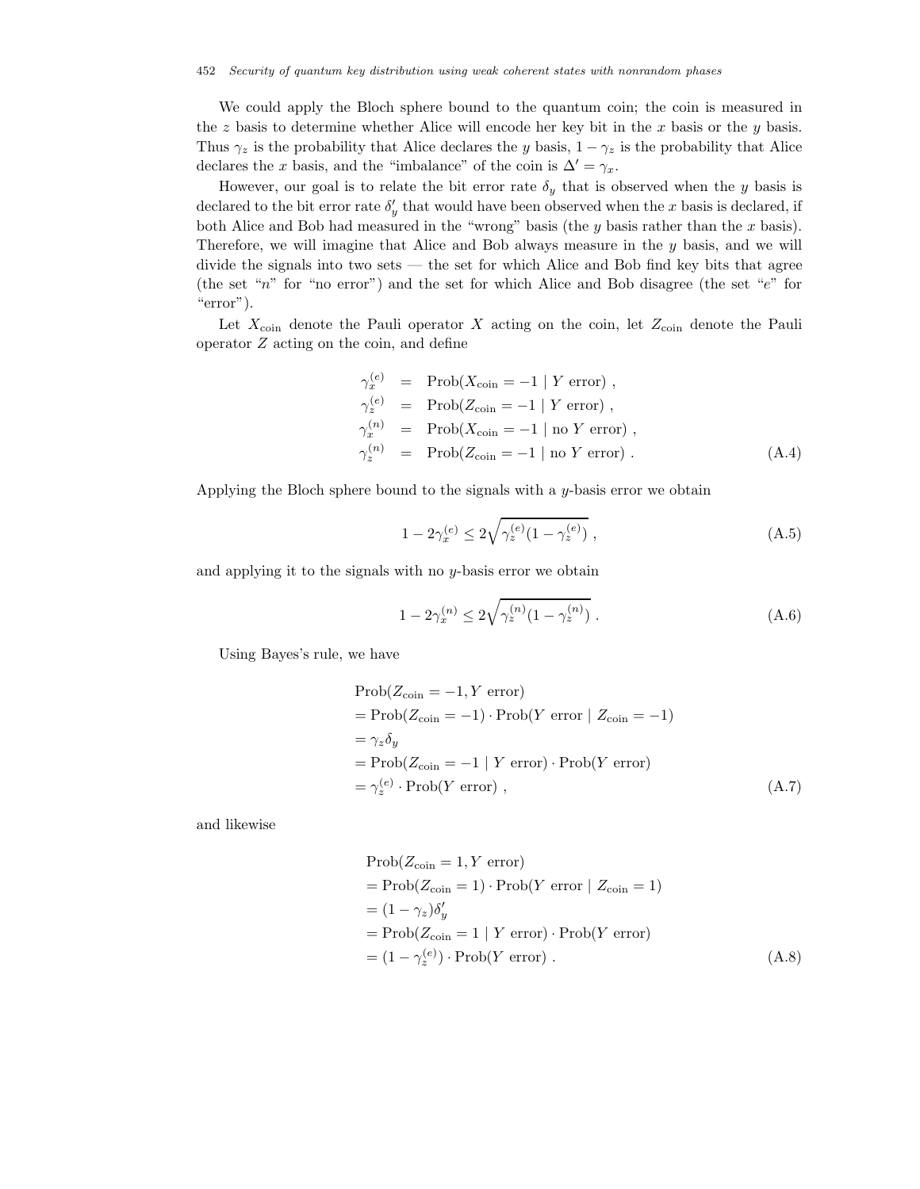We could apply the Bloch sphere bound to the quantum coin; the coin is measured in the z basis to determine whether Alice will encode her key bit in the x basis or the y basis. Thus  $\gamma_z$  is the probability that Alice declares the y basis,  $1 - \gamma_z$  is the probability that Alice declares the x basis, and the "imbalance" of the coin is  $\Delta' = \gamma_x$ .

However, our goal is to relate the bit error rate  $\delta_y$  that is observed when the y basis is declared to the bit error rate  $\delta'_y$  that would have been observed when the x basis is declared, if both Alice and Bob had measured in the "wrong" basis (the  $y$  basis rather than the  $x$  basis). Therefore, we will imagine that Alice and Bob always measure in the y basis, and we will divide the signals into two sets — the set for which Alice and Bob find key bits that agree (the set "n" for "no error") and the set for which Alice and Bob disagree (the set "e" for "error").

Let  $X_{\text{coin}}$  denote the Pauli operator X acting on the coin, let  $Z_{\text{coin}}$  denote the Pauli operator Z acting on the coin, and define

$$
\gamma_x^{(e)} = \text{Prob}(X_{\text{coin}} = -1 | Y \text{ error}),
$$
  
\n
$$
\gamma_z^{(e)} = \text{Prob}(Z_{\text{coin}} = -1 | Y \text{ error}),
$$
  
\n
$$
\gamma_x^{(n)} = \text{Prob}(X_{\text{coin}} = -1 | \text{no } Y \text{ error}),
$$
  
\n
$$
\gamma_z^{(n)} = \text{Prob}(Z_{\text{coin}} = -1 | \text{no } Y \text{ error}).
$$
  
\n(A.4)

Applying the Bloch sphere bound to the signals with a  $y$ -basis error we obtain

$$
1 - 2\gamma_x^{(e)} \le 2\sqrt{\gamma_z^{(e)}(1 - \gamma_z^{(e)})} ,\qquad (A.5)
$$

and applying it to the signals with no  $y$ -basis error we obtain

$$
1 - 2\gamma_x^{(n)} \le 2\sqrt{\gamma_z^{(n)}(1 - \gamma_z^{(n)})} \ . \tag{A.6}
$$

Using Bayes's rule, we have

$$
Prob(Z_{\text{coin}} = -1, Y \text{ error})
$$
  
= 
$$
Prob(Z_{\text{coin}} = -1) \cdot Prob(Y \text{ error} | Z_{\text{coin}} = -1)
$$
  
= 
$$
\gamma_z \delta_y
$$
  
= 
$$
Prob(Z_{\text{coin}} = -1 | Y \text{ error}) \cdot Prob(Y \text{ error})
$$
  
= 
$$
\gamma_z^{(e)} \cdot Prob(Y \text{ error}),
$$
 (A.7)

and likewise

$$
Prob(Z_{\text{coin}} = 1, Y \text{ error})
$$
  
= 
$$
Prob(Z_{\text{coin}} = 1) \cdot Prob(Y \text{ error} | Z_{\text{coin}} = 1)
$$
  
= 
$$
(1 - \gamma_z)\delta'_y
$$
  
= 
$$
Prob(Z_{\text{coin}} = 1 | Y \text{ error}) \cdot Prob(Y \text{ error})
$$
  
= 
$$
(1 - \gamma_z^{(e)}) \cdot Prob(Y \text{ error}) .
$$
 (A.8)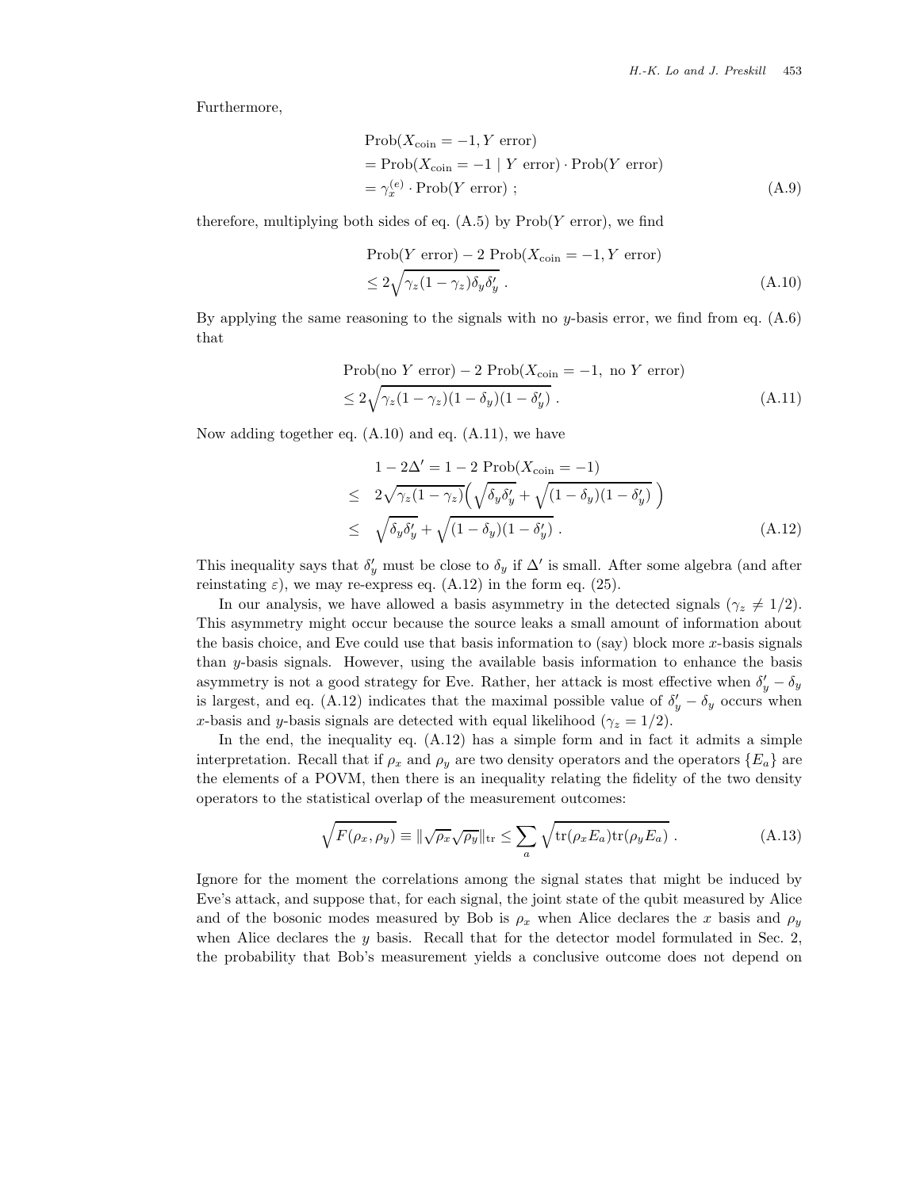Furthermore,

$$
Prob(X_{\text{coin}} = -1, Y \text{ error})
$$
  
= 
$$
Prob(X_{\text{coin}} = -1 | Y \text{ error}) \cdot Prob(Y \text{ error})
$$
  
= 
$$
\gamma_x^{(e)} \cdot Prob(Y \text{ error}) ;
$$
 (A.9)

therefore, multiplying both sides of eq.  $(A.5)$  by  $Prob(Y error)$ , we find

$$
\begin{aligned} \text{Prob}(Y \text{ error}) - 2 \text{ Prob}(X_{\text{coin}} = -1, Y \text{ error}) \\ &\le 2\sqrt{\gamma_z (1 - \gamma_z) \delta_y \delta_y'} \,. \end{aligned} \tag{A.10}
$$

By applying the same reasoning to the signals with no y-basis error, we find from eq.  $(A.6)$ that

Prob(no Y error) - 2 Prob(X<sub>coin</sub> = -1, no Y error)  
\n
$$
\leq 2\sqrt{\gamma_z(1-\gamma_z)(1-\delta_y)(1-\delta'_y)}.
$$
\n(A.11)

Now adding together eq. (A.10) and eq. (A.11), we have

$$
1 - 2\Delta' = 1 - 2 \operatorname{Prob}(X_{\text{coin}} = -1)
$$
  
\n
$$
\leq 2\sqrt{\gamma_z (1 - \gamma_z)} \Big( \sqrt{\delta_y \delta_y'} + \sqrt{(1 - \delta_y) (1 - \delta_y')}
$$
  
\n
$$
\leq \sqrt{\delta_y \delta_y'} + \sqrt{(1 - \delta_y) (1 - \delta_y')}.
$$
\n(A.12)

This inequality says that  $\delta'_y$  must be close to  $\delta_y$  if  $\Delta'$  is small. After some algebra (and after reinstating  $\varepsilon$ ), we may re-express eq. (A.12) in the form eq. (25).

In our analysis, we have allowed a basis asymmetry in the detected signals ( $\gamma_z \neq 1/2$ ). This asymmetry might occur because the source leaks a small amount of information about the basis choice, and Eve could use that basis information to  $(say)$  block more x-basis signals than y-basis signals. However, using the available basis information to enhance the basis asymmetry is not a good strategy for Eve. Rather, her attack is most effective when  $\delta'_y - \delta_y$ is largest, and eq. (A.12) indicates that the maximal possible value of  $\delta'_y - \delta_y$  occurs when x-basis and y-basis signals are detected with equal likelihood ( $\gamma_z = 1/2$ ).

In the end, the inequality eq.  $(A.12)$  has a simple form and in fact it admits a simple interpretation. Recall that if  $\rho_x$  and  $\rho_y$  are two density operators and the operators  $\{E_a\}$  are the elements of a POVM, then there is an inequality relating the fidelity of the two density operators to the statistical overlap of the measurement outcomes:

$$
\sqrt{F(\rho_x, \rho_y)} \equiv \|\sqrt{\rho_x} \sqrt{\rho_y}\|_{\text{tr}} \le \sum_a \sqrt{\text{tr}(\rho_x E_a) \text{tr}(\rho_y E_a)} . \tag{A.13}
$$

Ignore for the moment the correlations among the signal states that might be induced by Eve's attack, and suppose that, for each signal, the joint state of the qubit measured by Alice and of the bosonic modes measured by Bob is  $\rho_x$  when Alice declares the x basis and  $\rho_y$ when Alice declares the  $y$  basis. Recall that for the detector model formulated in Sec. 2, the probability that Bob's measurement yields a conclusive outcome does not depend on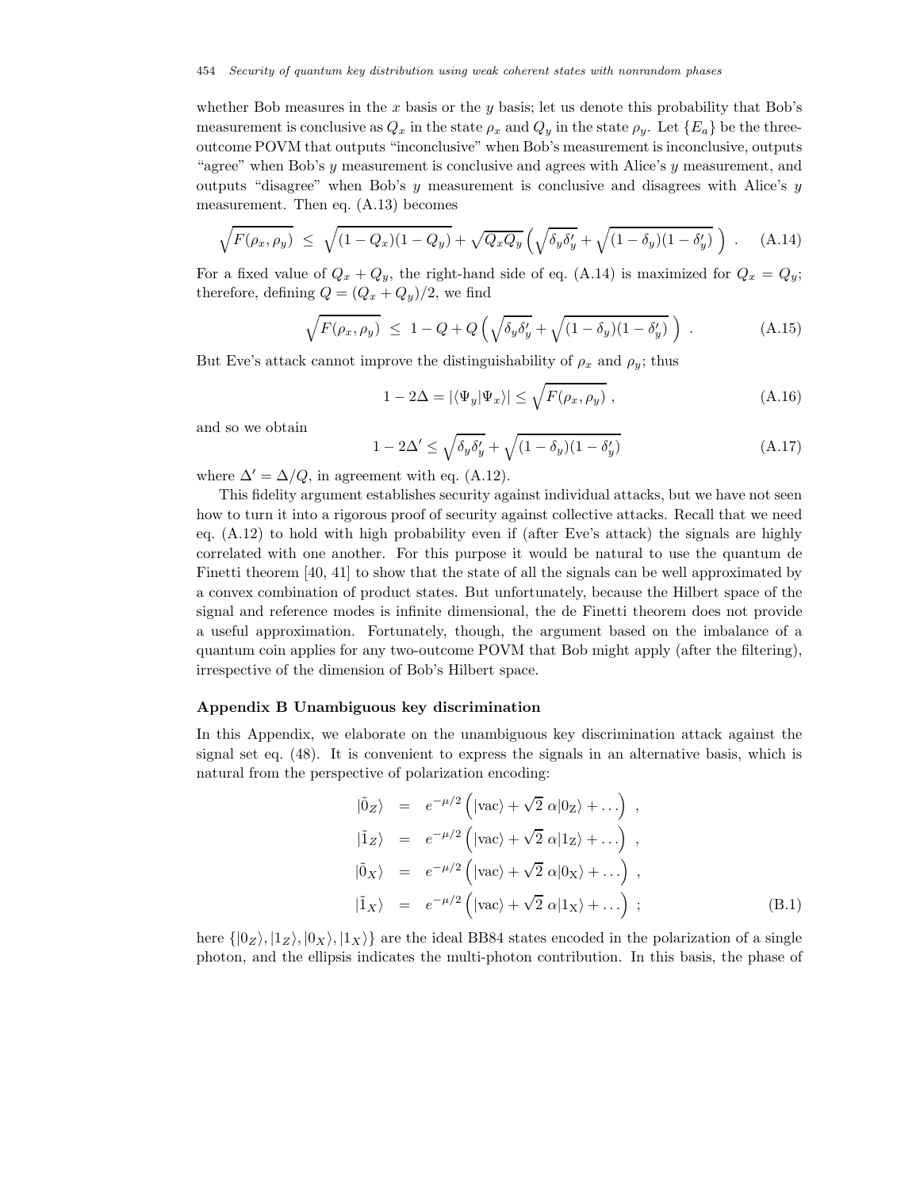whether Bob measures in the  $x$  basis or the  $y$  basis; let us denote this probability that Bob's measurement is conclusive as  $Q_x$  in the state  $\rho_x$  and  $Q_y$  in the state  $\rho_y$ . Let  $\{E_a\}$  be the threeoutcome POVM that outputs "inconclusive" when Bob's measurement is inconclusive, outputs "agree" when Bob's  $y$  measurement is conclusive and agrees with Alice's  $y$  measurement, and outputs "disagree" when Bob's  $y$  measurement is conclusive and disagrees with Alice's  $y$ measurement. Then eq. (A.13) becomes

$$
\sqrt{F(\rho_x, \rho_y)} \le \sqrt{(1 - Q_x)(1 - Q_y)} + \sqrt{Q_x Q_y} \left( \sqrt{\delta_y \delta_y'} + \sqrt{(1 - \delta_y)(1 - \delta_y')} \right) \,. \tag{A.14}
$$

For a fixed value of  $Q_x + Q_y$ , the right-hand side of eq. (A.14) is maximized for  $Q_x = Q_y$ ; therefore, defining  $Q = (Q_x + Q_y)/2$ , we find

$$
\sqrt{F(\rho_x, \rho_y)} \le 1 - Q + Q\left(\sqrt{\delta_y \delta_y'} + \sqrt{(1 - \delta_y)(1 - \delta_y')}\right) \tag{A.15}
$$

But Eve's attack cannot improve the distinguishability of  $\rho_x$  and  $\rho_y$ ; thus

$$
1 - 2\Delta = |\langle \Psi_y | \Psi_x \rangle| \le \sqrt{F(\rho_x, \rho_y)} \,, \tag{A.16}
$$

and so we obtain

$$
1 - 2\Delta' \le \sqrt{\delta_y \delta_y'} + \sqrt{(1 - \delta_y)(1 - \delta_y')}
$$
\n(A.17)

where  $\Delta' = \Delta/Q$ , in agreement with eq. (A.12).

This fidelity argument establishes security against individual attacks, but we have not seen how to turn it into a rigorous proof of security against collective attacks. Recall that we need eq. (A.12) to hold with high probability even if (after Eve's attack) the signals are highly correlated with one another. For this purpose it would be natural to use the quantum de Finetti theorem [40, 41] to show that the state of all the signals can be well approximated by a convex combination of product states. But unfortunately, because the Hilbert space of the signal and reference modes is infinite dimensional, the de Finetti theorem does not provide a useful approximation. Fortunately, though, the argument based on the imbalance of a quantum coin applies for any two-outcome POVM that Bob might apply (after the filtering), irrespective of the dimension of Bob's Hilbert space.

## **Appendix B Unambiguous key discrimination**

In this Appendix, we elaborate on the unambiguous key discrimination attack against the signal set eq. (48). It is convenient to express the signals in an alternative basis, which is natural from the perspective of polarization encoding:

$$
\begin{aligned}\n|\tilde{0}_Z\rangle &= e^{-\mu/2} \left( |\text{vac}\rangle + \sqrt{2} \alpha |0_Z\rangle + ...\right) , \\
|\tilde{1}_Z\rangle &= e^{-\mu/2} \left( |\text{vac}\rangle + \sqrt{2} \alpha |1_Z\rangle + ...\right) , \\
|\tilde{0}_X\rangle &= e^{-\mu/2} \left( |\text{vac}\rangle + \sqrt{2} \alpha |0_X\rangle + ...\right) , \\
|\tilde{1}_X\rangle &= e^{-\mu/2} \left( |\text{vac}\rangle + \sqrt{2} \alpha |1_X\rangle + ...\right) ;\n\end{aligned} (B.1)
$$

here  $\{|0_Z\rangle, |1_Z\rangle, |0_X\rangle, |1_X\rangle\}$  are the ideal BB84 states encoded in the polarization of a single photon, and the ellipsis indicates the multi-photon contribution. In this basis, the phase of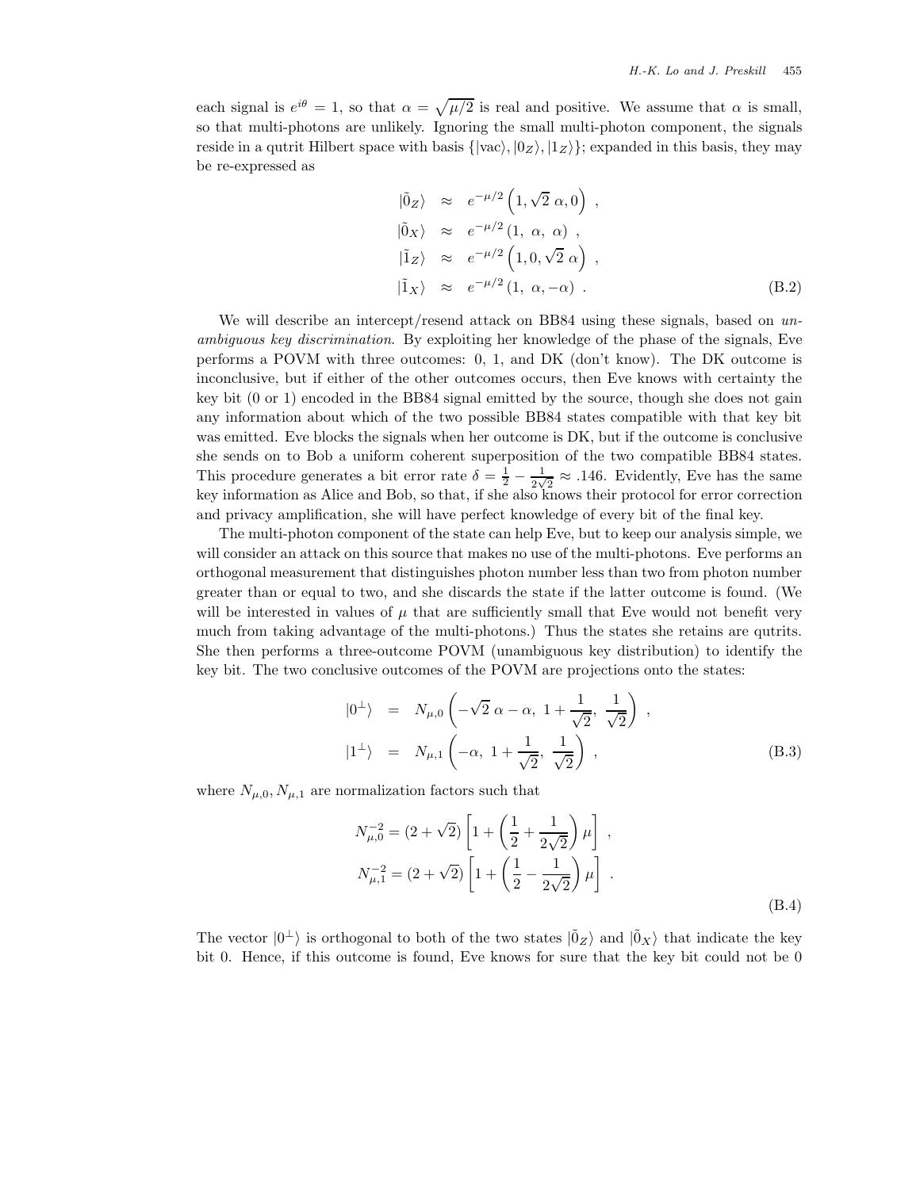each signal is  $e^{i\theta} = 1$ , so that  $\alpha = \sqrt{\mu/2}$  is real and positive. We assume that  $\alpha$  is small, so that multi-photons are unlikely. Ignoring the small multi-photon component, the signals reside in a qutrit Hilbert space with basis  $\{ |vac\rangle, |0_Z\rangle, |1_Z\rangle\};$  expanded in this basis, they may be re-expressed as

$$
\begin{aligned}\n|\tilde{0}_Z\rangle &\approx e^{-\mu/2} \left(1, \sqrt{2} \alpha, 0\right) , \\
|\tilde{0}_X\rangle &\approx e^{-\mu/2} \left(1, \alpha, \alpha\right) , \\
|\tilde{1}_Z\rangle &\approx e^{-\mu/2} \left(1, 0, \sqrt{2} \alpha\right) , \\
|\tilde{1}_X\rangle &\approx e^{-\mu/2} \left(1, \alpha, -\alpha\right) .\n\end{aligned} \tag{B.2}
$$

We will describe an intercept/resend attack on BB84 using these signals, based on *unambiguous key discrimination*. By exploiting her knowledge of the phase of the signals, Eve performs a POVM with three outcomes: 0, 1, and DK (don't know). The DK outcome is inconclusive, but if either of the other outcomes occurs, then Eve knows with certainty the key bit (0 or 1) encoded in the BB84 signal emitted by the source, though she does not gain any information about which of the two possible BB84 states compatible with that key bit was emitted. Eve blocks the signals when her outcome is DK, but if the outcome is conclusive she sends on to Bob a uniform coherent superposition of the two compatible BB84 states. This procedure generates a bit error rate  $\delta = \frac{1}{2} - \frac{1}{2\sqrt{2}} \approx .146$ . Evidently, Eve has the same key information as Alice and Bob, so that, if she also knows their protocol for error correction and privacy amplification, she will have perfect knowledge of every bit of the final key.

The multi-photon component of the state can help Eve, but to keep our analysis simple, we will consider an attack on this source that makes no use of the multi-photons. Eve performs an orthogonal measurement that distinguishes photon number less than two from photon number greater than or equal to two, and she discards the state if the latter outcome is found. (We will be interested in values of  $\mu$  that are sufficiently small that Eve would not benefit very much from taking advantage of the multi-photons.) Thus the states she retains are qutrits. She then performs a three-outcome POVM (unambiguous key distribution) to identify the key bit. The two conclusive outcomes of the POVM are projections onto the states:

$$
|0^{\perp}\rangle = N_{\mu,0}\left(-\sqrt{2} \alpha - \alpha, 1 + \frac{1}{\sqrt{2}}, \frac{1}{\sqrt{2}}\right),
$$
  

$$
|1^{\perp}\rangle = N_{\mu,1}\left(-\alpha, 1 + \frac{1}{\sqrt{2}}, \frac{1}{\sqrt{2}}\right),
$$
 (B.3)

where  $N_{\mu,0}, N_{\mu,1}$  are normalization factors such that

$$
N_{\mu,0}^{-2} = (2 + \sqrt{2}) \left[ 1 + \left( \frac{1}{2} + \frac{1}{2\sqrt{2}} \right) \mu \right],
$$
  
\n
$$
N_{\mu,1}^{-2} = (2 + \sqrt{2}) \left[ 1 + \left( \frac{1}{2} - \frac{1}{2\sqrt{2}} \right) \mu \right].
$$
  
\n(B.4)

The vector  $|0^{\perp}\rangle$  is orthogonal to both of the two states  $|\tilde{0}_Z\rangle$  and  $|\tilde{0}_X\rangle$  that indicate the key bit 0. Hence, if this outcome is found, Eve knows for sure that the key bit could not be 0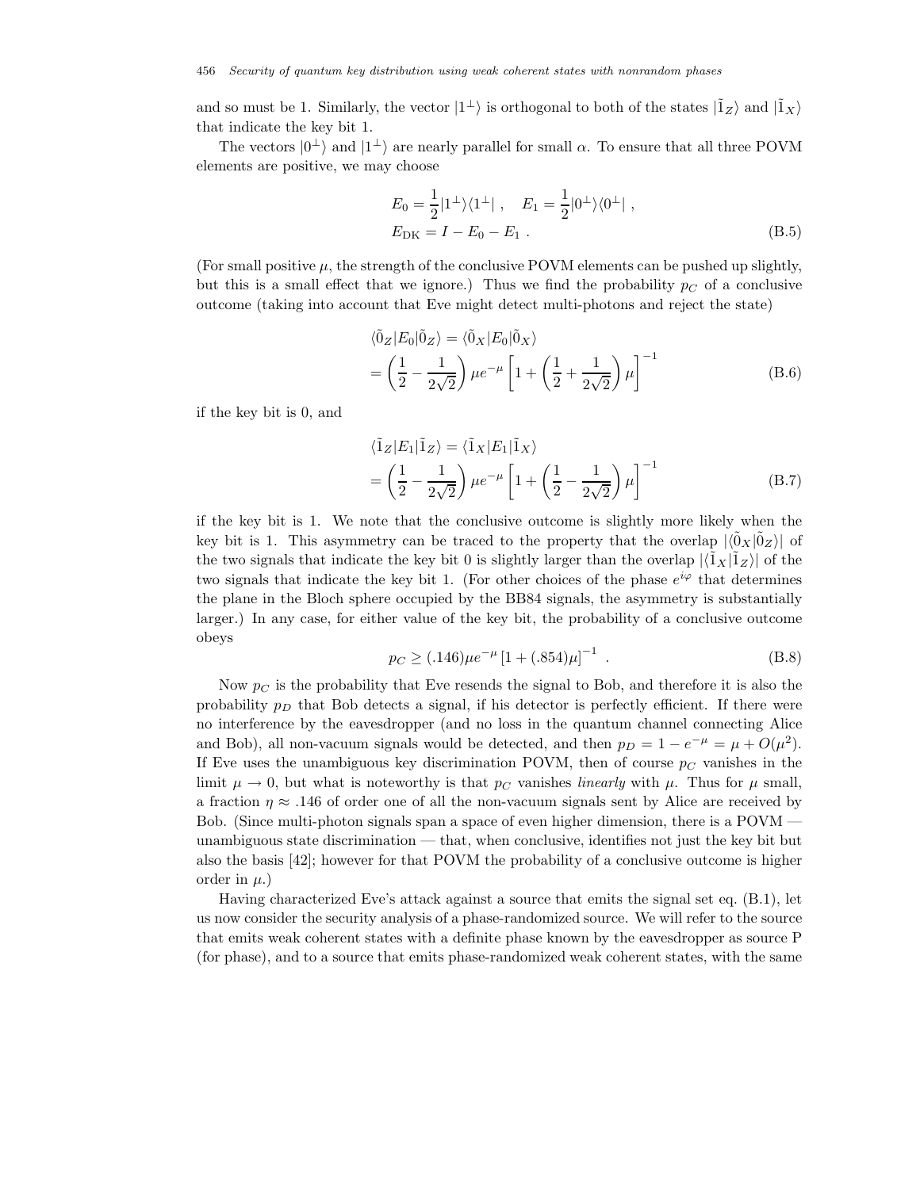and so must be 1. Similarly, the vector  $|1^{\perp}\rangle$  is orthogonal to both of the states  $|\tilde{1}_Z\rangle$  and  $|\tilde{1}_X\rangle$ that indicate the key bit 1.

The vectors  $|0^{\perp}\rangle$  and  $|1^{\perp}\rangle$  are nearly parallel for small  $\alpha$ . To ensure that all three POVM elements are positive, we may choose

$$
E_0 = \frac{1}{2} |1^{\perp}\rangle\langle1^{\perp}| \ , \quad E_1 = \frac{1}{2} |0^{\perp}\rangle\langle0^{\perp}| \ ,
$$
  
\n
$$
E_{\rm DK} = I - E_0 - E_1 \ .
$$
 (B.5)

(For small positive  $\mu$ , the strength of the conclusive POVM elements can be pushed up slightly, but this is a small effect that we ignore.) Thus we find the probability  $p<sub>C</sub>$  of a conclusive outcome (taking into account that Eve might detect multi-photons and reject the state)

$$
\langle \tilde{0}_Z | E_0 | \tilde{0}_Z \rangle = \langle \tilde{0}_X | E_0 | \tilde{0}_X \rangle
$$
  
= 
$$
\left(\frac{1}{2} - \frac{1}{2\sqrt{2}}\right) \mu e^{-\mu} \left[1 + \left(\frac{1}{2} + \frac{1}{2\sqrt{2}}\right) \mu\right]^{-1}
$$
 (B.6)

if the key bit is 0, and

$$
\langle \tilde{1}_Z | E_1 | \tilde{1}_Z \rangle = \langle \tilde{1}_X | E_1 | \tilde{1}_X \rangle
$$
  
= 
$$
\left(\frac{1}{2} - \frac{1}{2\sqrt{2}}\right) \mu e^{-\mu} \left[1 + \left(\frac{1}{2} - \frac{1}{2\sqrt{2}}\right) \mu\right]^{-1}
$$
 (B.7)

if the key bit is 1. We note that the conclusive outcome is slightly more likely when the key bit is 1. This asymmetry can be traced to the property that the overlap  $|\langle \tilde{0}_X | \tilde{0}_Z \rangle|$  of the two signals that indicate the key bit 0 is slightly larger than the overlap  $|\langle \tilde{1}_X | \tilde{1}_Z \rangle|$  of the two signals that indicate the key bit 1. (For other choices of the phase  $e^{i\varphi}$  that determines the plane in the Bloch sphere occupied by the BB84 signals, the asymmetry is substantially larger.) In any case, for either value of the key bit, the probability of a conclusive outcome obeys

$$
p_C \ge (0.146)\mu e^{-\mu} \left[1 + (0.854)\mu\right]^{-1} \tag{B.8}
$$

Now  $p<sub>C</sub>$  is the probability that Eve resends the signal to Bob, and therefore it is also the probability  $p<sub>D</sub>$  that Bob detects a signal, if his detector is perfectly efficient. If there were no interference by the eavesdropper (and no loss in the quantum channel connecting Alice and Bob), all non-vacuum signals would be detected, and then  $p_D = 1 - e^{-\mu} = \mu + O(\mu^2)$ . If Eve uses the unambiguous key discrimination POVM, then of course  $p<sub>C</sub>$  vanishes in the limit  $\mu \to 0$ , but what is noteworthy is that p<sub>C</sub> vanishes *linearly* with  $\mu$ . Thus for  $\mu$  small, a fraction  $\eta \approx .146$  of order one of all the non-vacuum signals sent by Alice are received by Bob. (Since multi-photon signals span a space of even higher dimension, there is a POVM unambiguous state discrimination — that, when conclusive, identifies not just the key bit but also the basis [42]; however for that POVM the probability of a conclusive outcome is higher order in  $\mu$ .)

Having characterized Eve's attack against a source that emits the signal set eq. (B.1), let us now consider the security analysis of a phase-randomized source. We will refer to the source that emits weak coherent states with a definite phase known by the eavesdropper as source P (for phase), and to a source that emits phase-randomized weak coherent states, with the same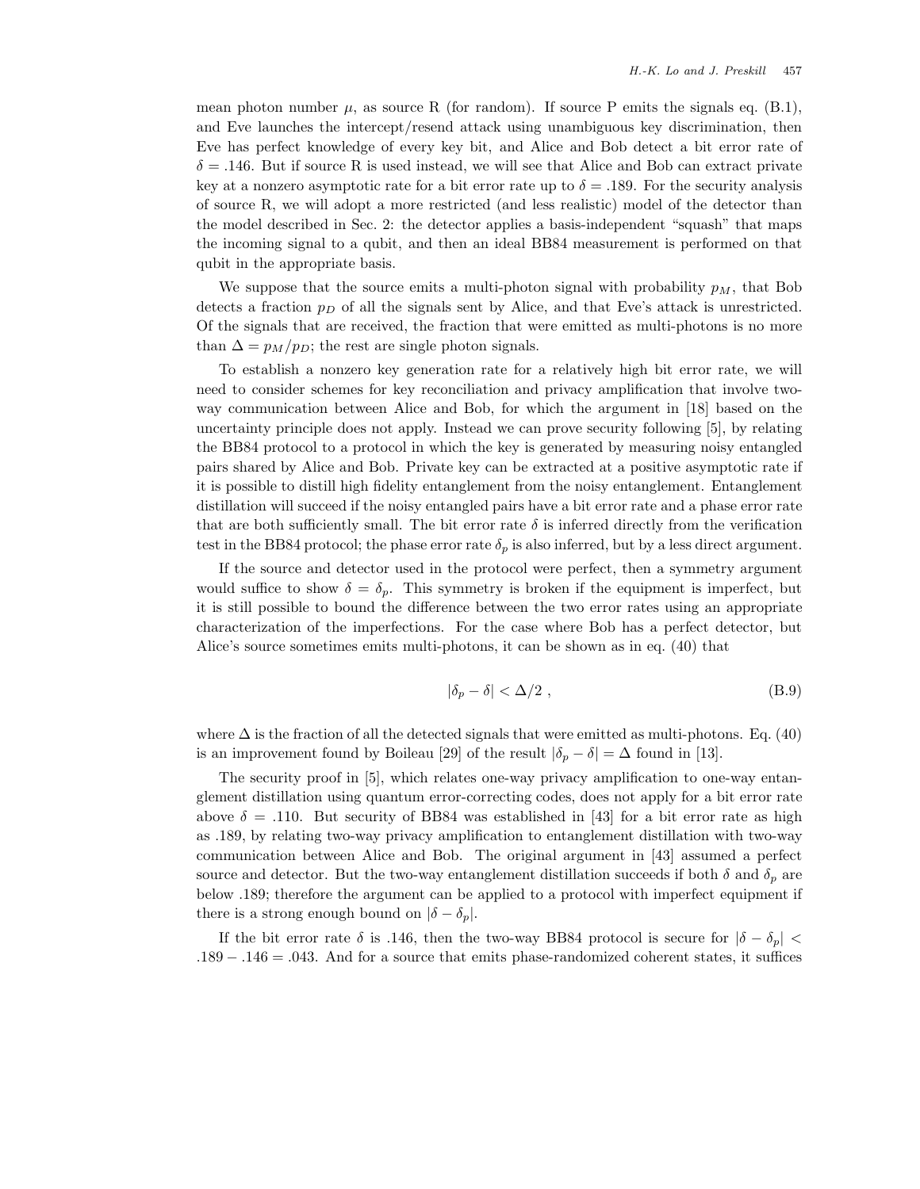mean photon number  $\mu$ , as source R (for random). If source P emits the signals eq. (B.1), and Eve launches the intercept/resend attack using unambiguous key discrimination, then Eve has perfect knowledge of every key bit, and Alice and Bob detect a bit error rate of  $\delta = .146$ . But if source R is used instead, we will see that Alice and Bob can extract private key at a nonzero asymptotic rate for a bit error rate up to  $\delta = .189$ . For the security analysis of source R, we will adopt a more restricted (and less realistic) model of the detector than the model described in Sec. 2: the detector applies a basis-independent "squash" that maps the incoming signal to a qubit, and then an ideal BB84 measurement is performed on that qubit in the appropriate basis.

We suppose that the source emits a multi-photon signal with probability  $p<sub>M</sub>$ , that Bob detects a fraction  $p<sub>D</sub>$  of all the signals sent by Alice, and that Eve's attack is unrestricted. Of the signals that are received, the fraction that were emitted as multi-photons is no more than  $\Delta = p_M / p_D$ ; the rest are single photon signals.

To establish a nonzero key generation rate for a relatively high bit error rate, we will need to consider schemes for key reconciliation and privacy amplification that involve twoway communication between Alice and Bob, for which the argument in [18] based on the uncertainty principle does not apply. Instead we can prove security following [5], by relating the BB84 protocol to a protocol in which the key is generated by measuring noisy entangled pairs shared by Alice and Bob. Private key can be extracted at a positive asymptotic rate if it is possible to distill high fidelity entanglement from the noisy entanglement. Entanglement distillation will succeed if the noisy entangled pairs have a bit error rate and a phase error rate that are both sufficiently small. The bit error rate  $\delta$  is inferred directly from the verification test in the BB84 protocol; the phase error rate  $\delta_p$  is also inferred, but by a less direct argument.

If the source and detector used in the protocol were perfect, then a symmetry argument would suffice to show  $\delta = \delta_p$ . This symmetry is broken if the equipment is imperfect, but it is still possible to bound the difference between the two error rates using an appropriate characterization of the imperfections. For the case where Bob has a perfect detector, but Alice's source sometimes emits multi-photons, it can be shown as in eq. (40) that

$$
|\delta_p - \delta| < \Delta/2 \tag{B.9}
$$

where  $\Delta$  is the fraction of all the detected signals that were emitted as multi-photons. Eq. (40) is an improvement found by Boileau [29] of the result  $|\delta_p - \delta| = \Delta$  found in [13].

The security proof in [5], which relates one-way privacy amplification to one-way entanglement distillation using quantum error-correcting codes, does not apply for a bit error rate above  $\delta = .110$ . But security of BB84 was established in [43] for a bit error rate as high as .189, by relating two-way privacy amplification to entanglement distillation with two-way communication between Alice and Bob. The original argument in [43] assumed a perfect source and detector. But the two-way entanglement distillation succeeds if both  $\delta$  and  $\delta_p$  are below .189; therefore the argument can be applied to a protocol with imperfect equipment if there is a strong enough bound on  $|\delta - \delta_p|$ .

If the bit error rate  $\delta$  is .146, then the two-way BB84 protocol is secure for  $|\delta - \delta_n|$  < .189 − .146 = .043. And for a source that emits phase-randomized coherent states, it suffices